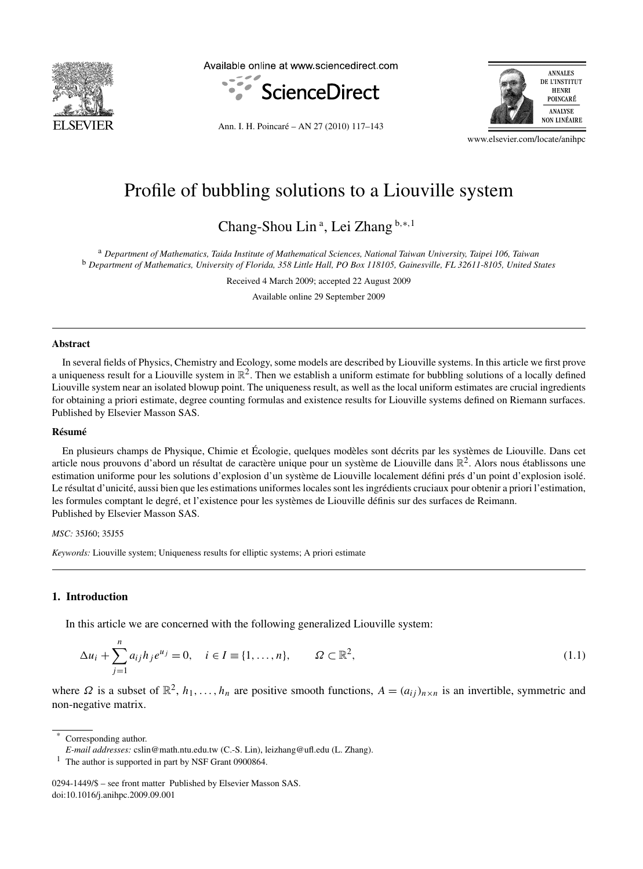

Available online at www.sciencedirect.com



Ann. I. H. Poincaré – AN 27 (2010) 117–143



www.elsevier.com/locate/anihpc

# Profile of bubbling solutions to a Liouville system

Chang-Shou Lin <sup>a</sup> , Lei Zhang <sup>b</sup>*,*∗*,*<sup>1</sup>

<sup>a</sup> *Department of Mathematics, Taida Institute of Mathematical Sciences, National Taiwan University, Taipei 106, Taiwan* <sup>b</sup> *Department of Mathematics, University of Florida, 358 Little Hall, PO Box 118105, Gainesville, FL 32611-8105, United States*

Received 4 March 2009; accepted 22 August 2009

Available online 29 September 2009

#### **Abstract**

In several fields of Physics, Chemistry and Ecology, some models are described by Liouville systems. In this article we first prove a uniqueness result for a Liouville system in  $\mathbb{R}^2$ . Then we establish a uniform estimate for bubbling solutions of a locally defined Liouville system near an isolated blowup point. The uniqueness result, as well as the local uniform estimates are crucial ingredients for obtaining a priori estimate, degree counting formulas and existence results for Liouville systems defined on Riemann surfaces. Published by Elsevier Masson SAS.

#### **Résumé**

En plusieurs champs de Physique, Chimie et Écologie, quelques modèles sont décrits par les systèmes de Liouville. Dans cet article nous prouvons d'abord un résultat de caractère unique pour un système de Liouville dans  $\mathbb{R}^2$ . Alors nous établissons une estimation uniforme pour les solutions d'explosion d'un système de Liouville localement défini prés d'un point d'explosion isolé. Le résultat d'unicité, aussi bien que les estimations uniformes locales sont les ingrédients cruciaux pour obtenir a priori l'estimation, les formules comptant le degré, et l'existence pour les systèmes de Liouville définis sur des surfaces de Reimann. Published by Elsevier Masson SAS.

#### *MSC:* 35J60; 35J55

*Keywords:* Liouville system; Uniqueness results for elliptic systems; A priori estimate

# **1. Introduction**

In this article we are concerned with the following generalized Liouville system:

$$
\Delta u_i + \sum_{j=1}^n a_{ij} h_j e^{u_j} = 0, \quad i \in I \equiv \{1, ..., n\}, \qquad \Omega \subset \mathbb{R}^2,
$$
\n(1.1)

where  $\Omega$  is a subset of  $\mathbb{R}^2$ ,  $h_1, \ldots, h_n$  are positive smooth functions,  $A = (a_{ij})_{n \times n}$  is an invertible, symmetric and non-negative matrix.

Corresponding author.

<sup>1</sup> The author is supported in part by NSF Grant 0900864.

*E-mail addresses:* cslin@math.ntu.edu.tw (C.-S. Lin), leizhang@ufl.edu (L. Zhang).

<sup>0294-1449/\$ –</sup> see front matter Published by Elsevier Masson SAS. doi:10.1016/j.anihpc.2009.09.001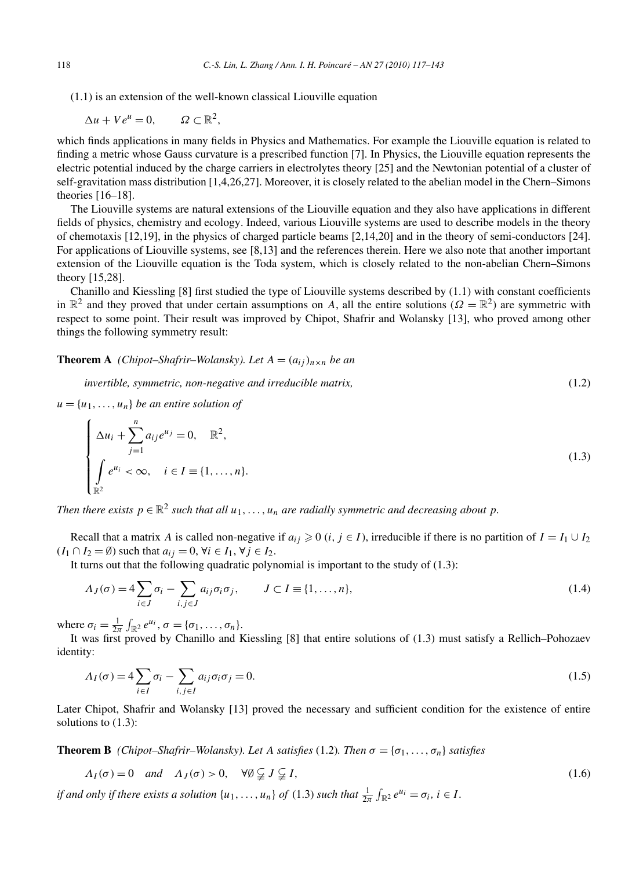(1.1) is an extension of the well-known classical Liouville equation

 $\Delta u + V e^u = 0, \qquad \Omega \subset \mathbb{R}^2,$ 

which finds applications in many fields in Physics and Mathematics. For example the Liouville equation is related to finding a metric whose Gauss curvature is a prescribed function [7]. In Physics, the Liouville equation represents the electric potential induced by the charge carriers in electrolytes theory [25] and the Newtonian potential of a cluster of self-gravitation mass distribution [1,4,26,27]. Moreover, it is closely related to the abelian model in the Chern–Simons theories [16–18].

The Liouville systems are natural extensions of the Liouville equation and they also have applications in different fields of physics, chemistry and ecology. Indeed, various Liouville systems are used to describe models in the theory of chemotaxis [12,19], in the physics of charged particle beams [2,14,20] and in the theory of semi-conductors [24]. For applications of Liouville systems, see [8,13] and the references therein. Here we also note that another important extension of the Liouville equation is the Toda system, which is closely related to the non-abelian Chern–Simons theory [15,28].

Chanillo and Kiessling [8] first studied the type of Liouville systems described by (1.1) with constant coefficients in  $\mathbb{R}^2$  and they proved that under certain assumptions on *A*, all the entire solutions ( $\Omega = \mathbb{R}^2$ ) are symmetric with respect to some point. Their result was improved by Chipot, Shafrir and Wolansky [13], who proved among other things the following symmetry result:

**Theorem A** *(Chipot–Shafrir–Wolansky). Let*  $A = (a_{ij})_{n \times n}$  *be an* 

*invertible, symmetric, non-negative and irreducible matrix,* (1.2)

 $u = \{u_1, \ldots, u_n\}$  *be an entire solution of* 

$$
\begin{cases}\n\Delta u_i + \sum_{j=1}^n a_{ij} e^{u_j} = 0, & \mathbb{R}^2, \\
\int_{\mathbb{R}^2} e^{u_i} < \infty, \quad i \in I \equiv \{1, \dots, n\}.\n\end{cases} \tag{1.3}
$$

*Then there exists*  $p \in \mathbb{R}^2$  *such that all*  $u_1, \ldots, u_n$  *are radially symmetric and decreasing about*  $p$ *.* 

Recall that a matrix *A* is called non-negative if  $a_{ij} \ge 0$  (*i*,  $j \in I$ ), irreducible if there is no partition of  $I = I_1 \cup I_2$  $(I_1 \cap I_2 = \emptyset)$  such that  $a_{ij} = 0$ ,  $\forall i \in I_1$ ,  $\forall j \in I_2$ .

It turns out that the following quadratic polynomial is important to the study of (1.3):

$$
\Lambda_J(\sigma) = 4 \sum_{i \in J} \sigma_i - \sum_{i,j \in J} a_{ij} \sigma_i \sigma_j, \qquad J \subset I \equiv \{1, \dots, n\},\tag{1.4}
$$

where  $\sigma_i = \frac{1}{2\pi} \int_{\mathbb{R}^2} e^{u_i}, \sigma = {\sigma_1, \ldots, \sigma_n}.$ 

It was first proved by Chanillo and Kiessling [8] that entire solutions of  $(1.3)$  must satisfy a Rellich–Pohozaev identity:

$$
\Lambda_I(\sigma) = 4 \sum_{i \in I} \sigma_i - \sum_{i,j \in I} a_{ij} \sigma_i \sigma_j = 0.
$$
\n(1.5)

Later Chipot, Shafrir and Wolansky [13] proved the necessary and sufficient condition for the existence of entire solutions to (1.3):

**Theorem B** *(Chipot–Shafrir–Wolansky). Let A satisfies* (1.2)*. Then*  $\sigma = {\sigma_1, \ldots, \sigma_n}$  *satisfies* 

$$
\Lambda_I(\sigma) = 0 \quad \text{and} \quad \Lambda_J(\sigma) > 0, \quad \forall \emptyset \subsetneq J \subsetneq I,\tag{1.6}
$$

*if and only if there exists a solution*  $\{u_1, \ldots, u_n\}$  *of*  $(1.3)$  *such that*  $\frac{1}{2\pi} \int_{\mathbb{R}^2} e^{u_i} = \sigma_i$ ,  $i \in I$ .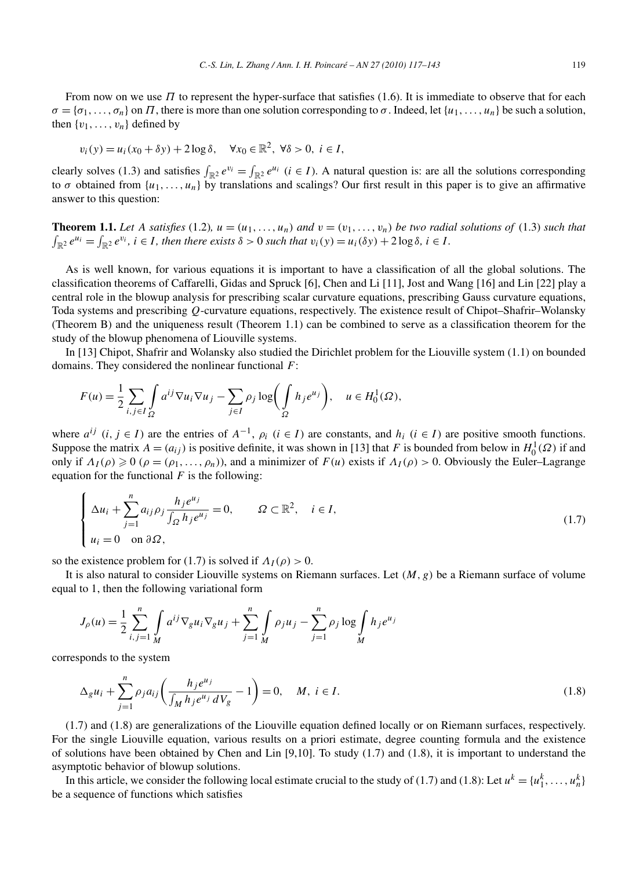From now on we use *Π* to represent the hyper-surface that satisfies (1.6). It is immediate to observe that for each  $\sigma = {\sigma_1, \ldots, \sigma_n}$  on *Π*, there is more than one solution corresponding to  $\sigma$ . Indeed, let  $\{u_1, \ldots, u_n\}$  be such a solution, then  $\{v_1, \ldots, v_n\}$  defined by

$$
v_i(y) = u_i(x_0 + \delta y) + 2\log \delta, \quad \forall x_0 \in \mathbb{R}^2, \ \forall \delta > 0, \ i \in I,
$$

clearly solves (1.3) and satisfies  $\int_{\mathbb{R}^2} e^{v_i} = \int_{\mathbb{R}^2} e^{u_i}$  (*i*  $\in I$ ). A natural question is: are all the solutions corresponding to  $\sigma$  obtained from  $\{u_1, \ldots, u_n\}$  by translations and scalings? Our first result in this paper is to give an affirmative answer to this question:

**Theorem 1.1.** Let A satisfies (1.2),  $u = (u_1, \ldots, u_n)$  and  $v = (v_1, \ldots, v_n)$  be two radial solutions of (1.3) such that  $\int_{\mathbb{R}^2} e^{u_i} = \int_{\mathbb{R}^2} e^{v_i}$ ,  $i \in I$ , then there exists  $\delta > 0$  such that  $v_i(y) = u_i(\delta y) + 2 \log \delta$ ,  $i \in I$ .

As is well known, for various equations it is important to have a classification of all the global solutions. The classification theorems of Caffarelli, Gidas and Spruck [6], Chen and Li [11], Jost and Wang [16] and Lin [22] play a central role in the blowup analysis for prescribing scalar curvature equations, prescribing Gauss curvature equations, Toda systems and prescribing *Q*-curvature equations, respectively. The existence result of Chipot–Shafrir–Wolansky (Theorem B) and the uniqueness result (Theorem 1.1) can be combined to serve as a classification theorem for the study of the blowup phenomena of Liouville systems.

In [13] Chipot, Shafrir and Wolansky also studied the Dirichlet problem for the Liouville system (1.1) on bounded domains. They considered the nonlinear functional *F*:

$$
F(u) = \frac{1}{2} \sum_{i,j \in I} \int_{\Omega} a^{ij} \nabla u_i \nabla u_j - \sum_{j \in I} \rho_j \log \biggl( \int_{\Omega} h_j e^{u_j} \biggr), \quad u \in H_0^1(\Omega),
$$

where  $a^{ij}$  (*i*,  $j \in I$ ) are the entries of  $A^{-1}$ ,  $\rho_i$  ( $i \in I$ ) are constants, and  $h_i$  ( $i \in I$ ) are positive smooth functions. Suppose the matrix  $A = (a_{ij})$  is positive definite, it was shown in [13] that *F* is bounded from below in  $H_0^1(\Omega)$  if and only if  $\Lambda_I(\rho) \geq 0$  ( $\rho = (\rho_1, \ldots, \rho_n)$ ), and a minimizer of  $F(u)$  exists if  $\Lambda_I(\rho) > 0$ . Obviously the Euler–Lagrange equation for the functional  $F$  is the following:

$$
\begin{cases}\n\Delta u_i + \sum_{j=1}^n a_{ij} \rho_j \frac{h_j e^{u_j}}{\int_{\Omega} h_j e^{u_j}} = 0, & \Omega \subset \mathbb{R}^2, \quad i \in I, \\
u_i = 0 \quad \text{on } \partial \Omega,\n\end{cases}
$$
\n(1.7)

so the existence problem for (1.7) is solved if  $\Lambda_I(\rho) > 0$ .

It is also natural to consider Liouville systems on Riemann surfaces. Let *(M, g)* be a Riemann surface of volume equal to 1, then the following variational form

$$
J_{\rho}(u) = \frac{1}{2} \sum_{i,j=1}^{n} \int_{M} a^{ij} \nabla_{g} u_{i} \nabla_{g} u_{j} + \sum_{j=1}^{n} \int_{M} \rho_{j} u_{j} - \sum_{j=1}^{n} \rho_{j} \log \int_{M} h_{j} e^{u_{j}}
$$

corresponds to the system

$$
\Delta_g u_i + \sum_{j=1}^n \rho_j a_{ij} \left( \frac{h_j e^{u_j}}{\int_M h_j e^{u_j} dV_g} - 1 \right) = 0, \quad M, \ i \in I.
$$
\n(1.8)

(1.7) and (1.8) are generalizations of the Liouville equation defined locally or on Riemann surfaces, respectively. For the single Liouville equation, various results on a priori estimate, degree counting formula and the existence of solutions have been obtained by Chen and Lin [9,10]. To study (1.7) and (1.8), it is important to understand the asymptotic behavior of blowup solutions.

In this article, we consider the following local estimate crucial to the study of (1.7) and (1.8): Let  $u^k = \{u_1^k, \ldots, u_n^k\}$ be a sequence of functions which satisfies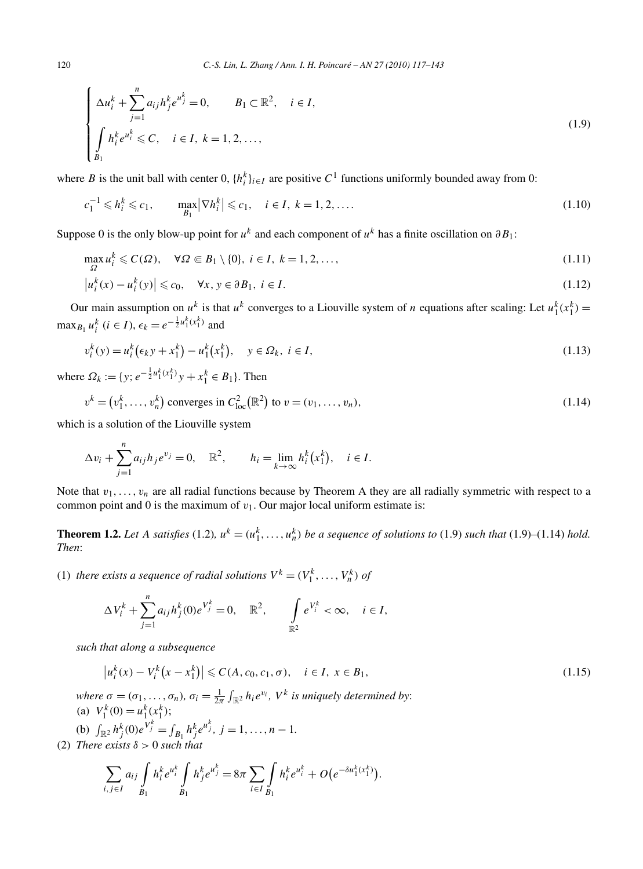$$
\begin{cases} \Delta u_i^k + \sum_{j=1}^n a_{ij} h_j^k e^{u_j^k} = 0, & B_1 \subset \mathbb{R}^2, \quad i \in I, \\ \int_{B_1} h_i^k e^{u_i^k} \leq C, & i \in I, \ k = 1, 2, ..., \end{cases}
$$
\n(1.9)

where *B* is the unit ball with center 0,  $\{h_i^k\}_{i \in I}$  are positive  $C^1$  functions uniformly bounded away from 0:

$$
c_1^{-1} \leq h_i^k \leq c_1, \qquad \max_{B_1} |\nabla h_i^k| \leq c_1, \quad i \in I, \ k = 1, 2, .... \tag{1.10}
$$

Suppose 0 is the only blow-up point for  $u^k$  and each component of  $u^k$  has a finite oscillation on  $\partial B_1$ :

$$
\max_{\Omega} u_i^k \leqslant C(\Omega), \quad \forall \Omega \in B_1 \setminus \{0\}, \ i \in I, \ k = 1, 2, \dots,
$$
\n
$$
\left| u_i^k(x) - u_i^k(y) \right| \leqslant c_0, \quad \forall x, y \in \partial B_1, \ i \in I.
$$
\n
$$
(1.11)
$$
\n
$$
(1.12)
$$

Our main assumption on  $u^k$  is that  $u^k$  converges to a Liouville system of *n* equations after scaling: Let  $u_1^k(x_1^k)$  = max<sub>*B*<sup>1</sup></sub> *u*<sup>*k*</sup></sup> (*i* ∈ *I*),  $\epsilon_k = e^{-\frac{1}{2}u_1^k(x_1^k)}$  and

$$
v_i^k(y) = u_i^k(\epsilon_k y + x_1^k) - u_1^k(x_1^k), \quad y \in \Omega_k, \ i \in I,
$$
\n(1.13)

where  $\Omega_k := \{y; e^{-\frac{1}{2}u_1^k(x_1^k)}y + x_1^k \in B_1\}$ . Then

$$
v^{k} = (v_{1}^{k}, \dots, v_{n}^{k}) \text{ converges in } C_{\text{loc}}^{2}(\mathbb{R}^{2}) \text{ to } v = (v_{1}, \dots, v_{n}),
$$
\n(1.14)

which is a solution of the Liouville system

$$
\Delta v_i + \sum_{j=1}^n a_{ij} h_j e^{v_j} = 0, \quad \mathbb{R}^2, \qquad h_i = \lim_{k \to \infty} h_i^k (x_1^k), \quad i \in I.
$$

Note that  $v_1, \ldots, v_n$  are all radial functions because by Theorem A they are all radially symmetric with respect to a common point and 0 is the maximum of  $v_1$ . Our major local uniform estimate is:

**Theorem 1.2.** Let A satisfies (1.2),  $u^k = (u_1^k, \ldots, u_n^k)$  be a sequence of solutions to (1.9) such that (1.9)–(1.14) hold. *Then*:

(1) *there exists a sequence of radial solutions*  $V^k = (V_1^k, \ldots, V_n^k)$  *of* 

$$
\Delta V_i^k + \sum_{j=1}^n a_{ij} h_j^k(0) e^{V_j^k} = 0, \quad \mathbb{R}^2, \qquad \int_{\mathbb{R}^2} e^{V_i^k} < \infty, \quad i \in I,
$$

*such that along a subsequence*

$$
\left|u_i^k(x) - V_i^k(x - x_1^k)\right| \leqslant C(A, c_0, c_1, \sigma), \quad i \in I, \ x \in B_1,\tag{1.15}
$$

*where*  $\sigma = (\sigma_1, \ldots, \sigma_n)$ *,*  $\sigma_i = \frac{1}{2\pi} \int_{\mathbb{R}^2} h_i e^{v_i}$ *, V*<sup>*k*</sup> *is uniquely determined by*: (a)  $V_1^k(0) = u_1^k(x_1^k);$ 

(b)  $\int_{\mathbb{R}^2} h_j^k(0) e^{V_j^k} = \int_{B_1} h_j^k e^{u_j^k}$ ,  $j = 1, ..., n - 1$ .

(2) *There exists*  $\delta > 0$  *such that* 

$$
\sum_{i,j\in I} a_{ij} \int_{B_1} h_i^k e^{u_i^k} \int_{B_1} h_j^k e^{u_j^k} = 8\pi \sum_{i\in I} \int_{B_1} h_i^k e^{u_i^k} + O(e^{-\delta u_1^k(x_1^k)}).
$$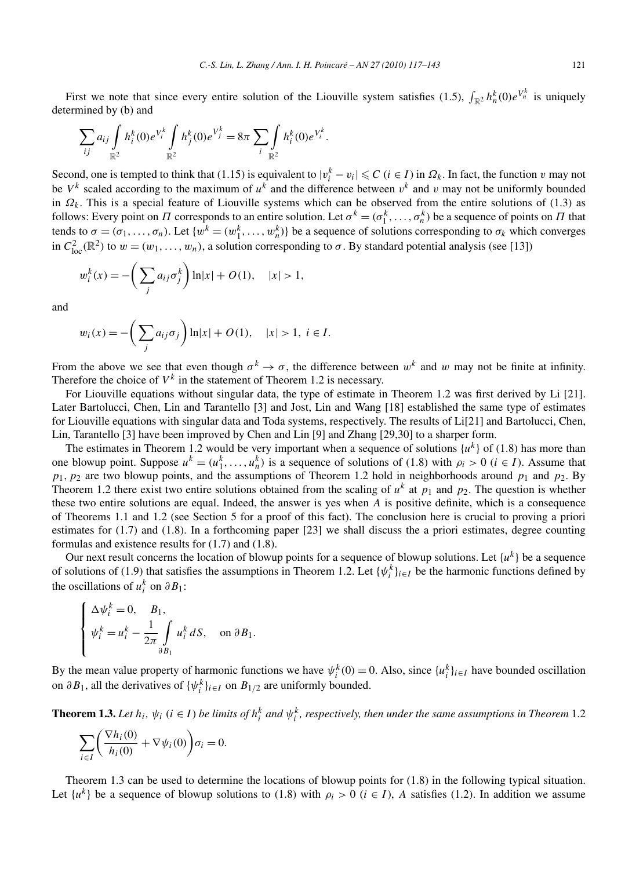First we note that since every entire solution of the Liouville system satisfies (1.5),  $\int_{\mathbb{R}^2} h_n^k(0)e^{V_n^k}$  is uniquely determined by (b) and

$$
\sum_{ij} a_{ij} \int_{\mathbb{R}^2} h_i^k(0) e^{V_i^k} \int_{\mathbb{R}^2} h_j^k(0) e^{V_j^k} = 8\pi \sum_i \int_{\mathbb{R}^2} h_i^k(0) e^{V_i^k}.
$$

Second, one is tempted to think that (1.15) is equivalent to  $|v_i^k - v_i| \leq C$  ( $i \in I$ ) in  $\Omega_k$ . In fact, the function  $v$  may not be  $V^k$  scaled according to the maximum of  $u^k$  and the difference between  $v^k$  and  $v$  may not be uniformly bounded in  $\Omega_k$ . This is a special feature of Liouville systems which can be observed from the entire solutions of (1.3) as follows: Every point on *Π* corresponds to an entire solution. Let  $\sigma^k = (\sigma_1^k, \ldots, \sigma_n^k)$  be a sequence of points on *Π* that tends to  $\sigma = (\sigma_1, \ldots, \sigma_n)$ . Let  $\{w^k = (w_1^k, \ldots, w_n^k)\}$  be a sequence of solutions corresponding to  $\sigma_k$  which converges in  $C_{\text{loc}}^2(\mathbb{R}^2)$  to  $w = (w_1, \ldots, w_n)$ , a solution corresponding to  $\sigma$ . By standard potential analysis (see [13])

$$
w_i^k(x) = -\bigg(\sum_j a_{ij}\sigma_j^k\bigg)\ln|x| + O(1), \quad |x| > 1,
$$

and

$$
w_i(x) = -\bigg(\sum_j a_{ij}\sigma_j\bigg)\ln|x| + O(1), \quad |x| > 1, \ i \in I.
$$

From the above we see that even though  $\sigma^k \to \sigma$ , the difference between  $w^k$  and w may not be finite at infinity. Therefore the choice of  $V^k$  in the statement of Theorem 1.2 is necessary.

For Liouville equations without singular data, the type of estimate in Theorem 1.2 was first derived by Li [21]. Later Bartolucci, Chen, Lin and Tarantello [3] and Jost, Lin and Wang [18] established the same type of estimates for Liouville equations with singular data and Toda systems, respectively. The results of Li[21] and Bartolucci, Chen, Lin, Tarantello [3] have been improved by Chen and Lin [9] and Zhang [29,30] to a sharper form.

The estimates in Theorem 1.2 would be very important when a sequence of solutions  $\{u^k\}$  of (1.8) has more than one blowup point. Suppose  $u^k = (u_1^k, \ldots, u_n^k)$  is a sequence of solutions of (1.8) with  $\rho_i > 0$  ( $i \in I$ ). Assume that  $p_1, p_2$  are two blowup points, and the assumptions of Theorem 1.2 hold in neighborhoods around  $p_1$  and  $p_2$ . By Theorem 1.2 there exist two entire solutions obtained from the scaling of  $u^k$  at  $p_1$  and  $p_2$ . The question is whether these two entire solutions are equal. Indeed, the answer is yes when *A* is positive definite, which is a consequence of Theorems 1.1 and 1.2 (see Section 5 for a proof of this fact). The conclusion here is crucial to proving a priori estimates for (1.7) and (1.8). In a forthcoming paper [23] we shall discuss the a priori estimates, degree counting formulas and existence results for (1.7) and (1.8).

Our next result concerns the location of blowup points for a sequence of blowup solutions. Let  $\{u^k\}$  be a sequence of solutions of (1.9) that satisfies the assumptions in Theorem 1.2. Let  $\{\psi_i^k\}_{i \in I}$  be the harmonic functions defined by the oscillations of  $u_i^k$  on  $\partial B_1$ :

$$
\begin{cases} \Delta \psi_i^k = 0, \quad B_1, \\ \psi_i^k = u_i^k - \frac{1}{2\pi} \int_{\partial B_1} u_i^k dS, \quad \text{on } \partial B_1. \end{cases}
$$

By the mean value property of harmonic functions we have  $\psi_i^k(0) = 0$ . Also, since  $\{u_i^k\}_{i \in I}$  have bounded oscillation on  $\partial B_1$ , all the derivatives of  $\{\psi_i^k\}_{i \in I}$  on  $B_{1/2}$  are uniformly bounded.

**Theorem 1.3.** Let  $h_i$ ,  $\psi_i$  ( $i \in I$ ) be limits of  $h_i^k$  and  $\psi_i^k$ , respectively, then under the same assumptions in Theorem 1.2

$$
\sum_{i \in I} \left( \frac{\nabla h_i(0)}{h_i(0)} + \nabla \psi_i(0) \right) \sigma_i = 0.
$$

Theorem 1.3 can be used to determine the locations of blowup points for (1.8) in the following typical situation. Let  $\{u^k\}$  be a sequence of blowup solutions to (1.8) with  $\rho_i > 0$  ( $i \in I$ ), *A* satisfies (1.2). In addition we assume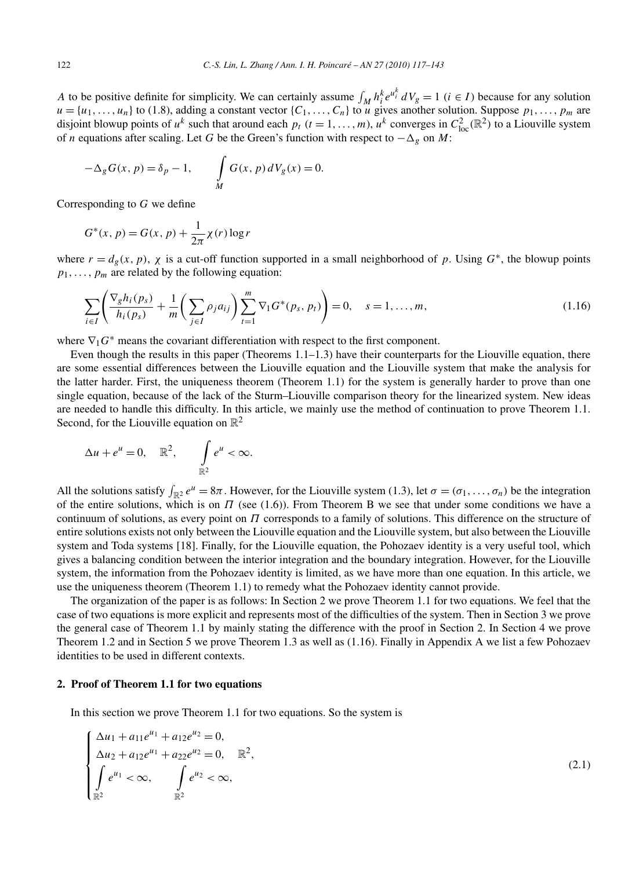*A* to be positive definite for simplicity. We can certainly assume  $\int_M h_i^k e^{u_i^k} dV_g = 1$  ( $i \in I$ ) because for any solution  $u = \{u_1, \ldots, u_n\}$  to (1.8), adding a constant vector  $\{C_1, \ldots, C_n\}$  to *u* gives another solution. Suppose  $p_1, \ldots, p_m$  are disjoint blowup points of  $u^k$  such that around each  $p_t$   $(t = 1, ..., m)$ ,  $u^k$  converges in  $C_{loc}^2(\mathbb{R}^2)$  to a Liouville system of *n* equations after scaling. Let *G* be the Green's function with respect to −*-<sup>g</sup>* on *M*:

$$
-\Delta_g G(x, p) = \delta_p - 1, \qquad \int\limits_M G(x, p) dV_g(x) = 0.
$$

Corresponding to *G* we define

$$
G^*(x, p) = G(x, p) + \frac{1}{2\pi} \chi(r) \log r
$$

where  $r = d_g(x, p)$ ,  $\chi$  is a cut-off function supported in a small neighborhood of  $p$ . Using  $G^*$ , the blowup points  $p_1, \ldots, p_m$  are related by the following equation:

$$
\sum_{i \in I} \left( \frac{\nabla_g h_i(p_s)}{h_i(p_s)} + \frac{1}{m} \left( \sum_{j \in I} \rho_j a_{ij} \right) \sum_{t=1}^m \nabla_i G^*(p_s, p_t) \right) = 0, \quad s = 1, ..., m,
$$
\n(1.16)

where  $\nabla_1 G^*$  means the covariant differentiation with respect to the first component.

Even though the results in this paper (Theorems 1.1–1.3) have their counterparts for the Liouville equation, there are some essential differences between the Liouville equation and the Liouville system that make the analysis for the latter harder. First, the uniqueness theorem (Theorem 1.1) for the system is generally harder to prove than one single equation, because of the lack of the Sturm–Liouville comparison theory for the linearized system. New ideas are needed to handle this difficulty. In this article, we mainly use the method of continuation to prove Theorem 1.1. Second, for the Liouville equation on  $\mathbb{R}^2$ 

$$
\Delta u + e^u = 0, \quad \mathbb{R}^2, \qquad \int_{\mathbb{R}^2} e^u < \infty.
$$

All the solutions satisfy  $\int_{\mathbb{R}^2} e^u = 8\pi$ . However, for the Liouville system (1.3), let  $\sigma = (\sigma_1, \ldots, \sigma_n)$  be the integration of the entire solutions, which is on *Π* (see (1.6)). From Theorem B we see that under some conditions we have a continuum of solutions, as every point on *Π* corresponds to a family of solutions. This difference on the structure of entire solutions exists not only between the Liouville equation and the Liouville system, but also between the Liouville system and Toda systems [18]. Finally, for the Liouville equation, the Pohozaev identity is a very useful tool, which gives a balancing condition between the interior integration and the boundary integration. However, for the Liouville system, the information from the Pohozaev identity is limited, as we have more than one equation. In this article, we use the uniqueness theorem (Theorem 1.1) to remedy what the Pohozaev identity cannot provide.

The organization of the paper is as follows: In Section 2 we prove Theorem 1.1 for two equations. We feel that the case of two equations is more explicit and represents most of the difficulties of the system. Then in Section 3 we prove the general case of Theorem 1.1 by mainly stating the difference with the proof in Section 2. In Section 4 we prove Theorem 1.2 and in Section 5 we prove Theorem 1.3 as well as (1.16). Finally in Appendix A we list a few Pohozaev identities to be used in different contexts.

## **2. Proof of Theorem 1.1 for two equations**

In this section we prove Theorem 1.1 for two equations. So the system is

$$
\begin{cases} \Delta u_1 + a_{11}e^{u_1} + a_{12}e^{u_2} = 0, \\ \Delta u_2 + a_{12}e^{u_1} + a_{22}e^{u_2} = 0, \quad \mathbb{R}^2, \\ \int_{\mathbb{R}^2} e^{u_1} < \infty, \qquad \int_{\mathbb{R}^2} e^{u_2} < \infty, \end{cases} \tag{2.1}
$$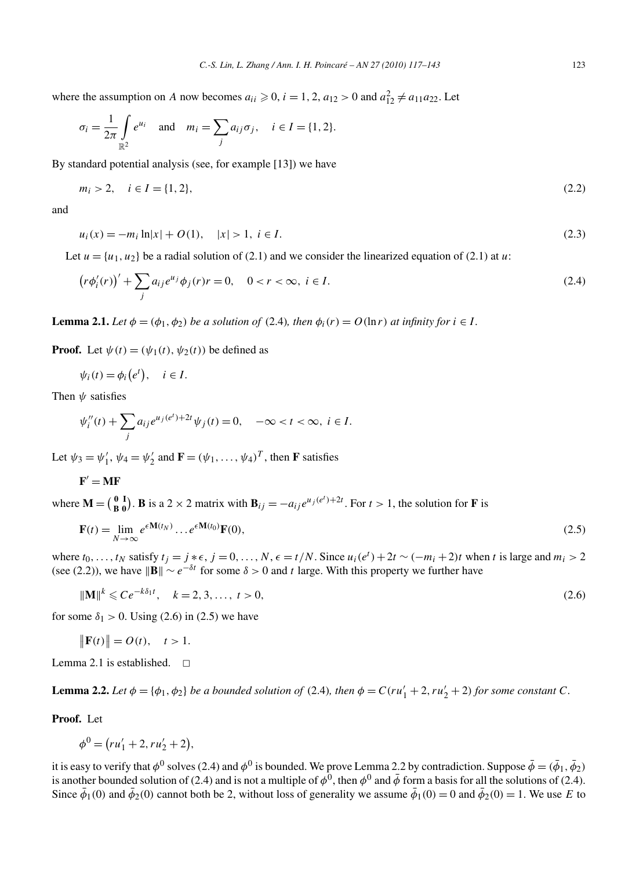where the assumption on *A* now becomes  $a_{ii} \ge 0$ ,  $i = 1, 2$ ,  $a_{12} > 0$  and  $a_{12}^2 \ne a_{11}a_{22}$ . Let

$$
\sigma_i = \frac{1}{2\pi} \int_{\mathbb{R}^2} e^{u_i} \quad \text{and} \quad m_i = \sum_j a_{ij} \sigma_j, \quad i \in I = \{1, 2\}.
$$

By standard potential analysis (see, for example [13]) we have

$$
m_i > 2, \quad i \in I = \{1, 2\},\tag{2.2}
$$

and

$$
u_i(x) = -m_i \ln|x| + O(1), \quad |x| > 1, \ i \in I. \tag{2.3}
$$

Let  $u = \{u_1, u_2\}$  be a radial solution of (2.1) and we consider the linearized equation of (2.1) at *u*:

$$
(r\phi_i'(r))' + \sum_j a_{ij}e^{u_j}\phi_j(r)r = 0, \quad 0 < r < \infty, \ i \in I.
$$
 (2.4)

**Lemma 2.1.** *Let*  $\phi = (\phi_1, \phi_2)$  *be a solution of* (2.4)*, then*  $\phi_i(r) = O(\ln r)$  *at infinity for*  $i \in I$ .

**Proof.** Let  $\psi(t) = (\psi_1(t), \psi_2(t))$  be defined as

$$
\psi_i(t) = \phi_i(e^t), \quad i \in I.
$$

Then *ψ* satisfies

$$
\psi_i''(t) + \sum_j a_{ij} e^{u_j(e^t) + 2t} \psi_j(t) = 0, \quad -\infty < t < \infty, \ i \in I.
$$

Let  $\psi_3 = \psi'_1$ ,  $\psi_4 = \psi'_2$  and  $\mathbf{F} = (\psi_1, \dots, \psi_4)^T$ , then **F** satisfies

$$
\mathbf{F}' = \mathbf{MF}
$$

where  $\mathbf{M} = \begin{pmatrix} 0 & \mathbf{I} \\ \mathbf{B} & \mathbf{0} \end{pmatrix}$ . **B** is a 2 × 2 matrix with  $\mathbf{B}_{ij} = -a_{ij}e^{u_j(e^t) + 2t}$ . For  $t > 1$ , the solution for **F** is

$$
\mathbf{F}(t) = \lim_{N \to \infty} e^{\epsilon \mathbf{M}(t_N)} \dots e^{\epsilon \mathbf{M}(t_0)} \mathbf{F}(0),\tag{2.5}
$$

where  $t_0, \ldots, t_N$  satisfy  $t_j = j * \epsilon, j = 0, \ldots, N, \epsilon = t/N$ . Since  $u_i(e^t) + 2t \sim (-m_i + 2)t$  when t is large and  $m_i > 2$ (see (2.2)), we have  $||\mathbf{B}|| \sim e^{-\delta t}$  for some  $\delta > 0$  and *t* large. With this property we further have

$$
\|\mathbf{M}\|^k \leqslant Ce^{-k\delta_1 t}, \quad k = 2, 3, \dots, t > 0,
$$
\n<sup>(2.6)</sup>

for some  $\delta_1 > 0$ . Using (2.6) in (2.5) we have

$$
\|\mathbf{F}(t)\| = O(t), \quad t > 1.
$$

Lemma 2.1 is established.  $\square$ 

**Lemma 2.2.** *Let*  $\phi = {\phi_1, \phi_2}$  *be a bounded solution of* (2.4)*, then*  $\phi = C(ru'_1 + 2, ru'_2 + 2)$  *for some constant C*.

**Proof.** Let

$$
\phi^0 = (ru'_1 + 2, ru'_2 + 2),
$$

it is easy to verify that  $\phi^0$  solves (2.4) and  $\phi^0$  is bounded. We prove Lemma 2.2 by contradiction. Suppose  $\bar{\phi} = (\bar{\phi}_1, \bar{\phi}_2)$ is another bounded solution of (2.4) and is not a multiple of  $\phi^0$ , then  $\phi^0$  and  $\bar{\phi}$  form a basis for all the solutions of (2.4). Since  $\bar{\phi}_1(0)$  and  $\bar{\phi}_2(0)$  cannot both be 2, without loss of generality we assume  $\bar{\phi}_1(0) = 0$  and  $\bar{\phi}_2(0) = 1$ . We use *E* to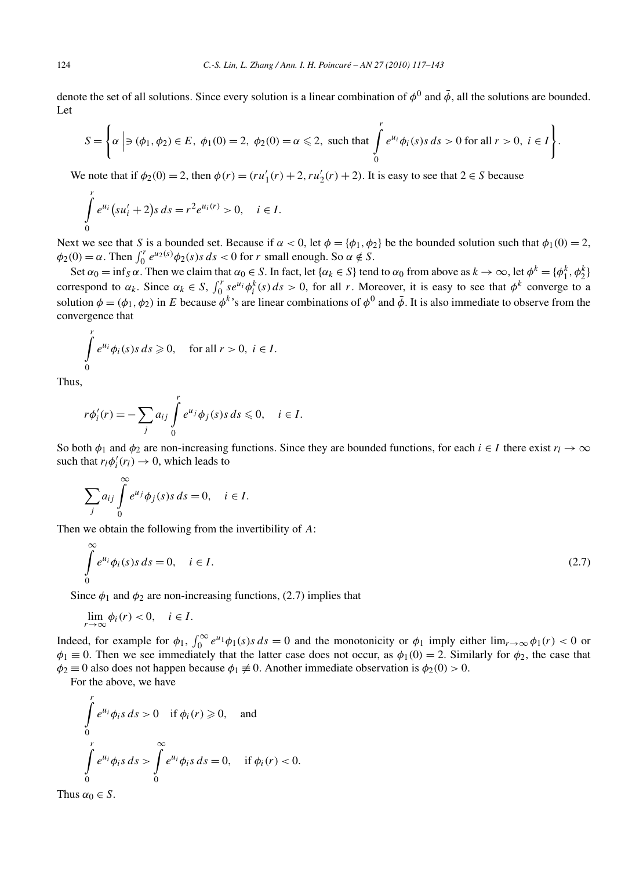denote the set of all solutions. Since every solution is a linear combination of  $\phi^0$  and  $\bar{\phi}$ , all the solutions are bounded. Let

$$
S = \left\{ \alpha \mid \ni (\phi_1, \phi_2) \in E, \ \phi_1(0) = 2, \ \phi_2(0) = \alpha \leq 2, \text{ such that } \int_0^r e^{u_i} \phi_i(s) s \, ds > 0 \text{ for all } r > 0, \ i \in I \right\}.
$$

We note that if  $\phi_2(0) = 2$ , then  $\phi(r) = (ru'_1(r) + 2, ru'_2(r) + 2)$ . It is easy to see that  $2 \in S$  because

$$
\int_{0}^{r} e^{u_i} (s u'_i + 2) s \, ds = r^2 e^{u_i(r)} > 0, \quad i \in I.
$$

Next we see that *S* is a bounded set. Because if  $\alpha < 0$ , let  $\phi = {\phi_1, \phi_2}$  be the bounded solution such that  $\phi_1(0) = 2$ ,  $\phi_2(0) = \alpha$ . Then  $\int_0^r e^{u_2(s)} \phi_2(s) s ds < 0$  for *r* small enough. So  $\alpha \notin S$ .

Set  $\alpha_0 = \inf_S \alpha$ . Then we claim that  $\alpha_0 \in S$ . In fact, let  $\{\alpha_k \in S\}$  tend to  $\alpha_0$  from above as  $k \to \infty$ , let  $\phi^k = \{\phi_1^k, \phi_2^k\}$ correspond to  $\alpha_k$ . Since  $\alpha_k \in S$ ,  $\int_0^r s e^{u_i} \phi_i^k(s) ds > 0$ , for all *r*. Moreover, it is easy to see that  $\phi^k$  converge to a solution  $\phi = (\phi_1, \phi_2)$  in *E* because  $\phi^k$ 's are linear combinations of  $\phi^0$  and  $\bar{\phi}$ . It is also immediate to observe from the convergence that

$$
\int_{0}^{r} e^{u_i} \phi_i(s) s \, ds \geq 0, \quad \text{for all } r > 0, \ i \in I.
$$

Thus,

$$
r\phi_i'(r) = -\sum_j a_{ij} \int_0^r e^{u_j} \phi_j(s) s \, ds \leq 0, \quad i \in I.
$$

So both  $\phi_1$  and  $\phi_2$  are non-increasing functions. Since they are bounded functions, for each *i* ∈ *I* there exist  $r_l \to \infty$ such that  $r_l \phi'_i(r_l) \rightarrow 0$ , which leads to

$$
\sum_{j} a_{ij} \int_{0}^{\infty} e^{u_j} \phi_j(s) s \, ds = 0, \quad i \in I.
$$

Then we obtain the following from the invertibility of *A*:

$$
\int_{0}^{\infty} e^{u_i} \phi_i(s) s \, ds = 0, \quad i \in I.
$$
\n
$$
(2.7)
$$

Since  $\phi_1$  and  $\phi_2$  are non-increasing functions, (2.7) implies that

$$
\lim_{r \to \infty} \phi_i(r) < 0, \quad i \in I.
$$

Indeed, for example for  $\phi_1$ ,  $\int_0^\infty e^{u_1} \phi_1(s) s ds = 0$  and the monotonicity or  $\phi_1$  imply either  $\lim_{r\to\infty} \phi_1(r) < 0$  or  $\phi_1 \equiv 0$ . Then we see immediately that the latter case does not occur, as  $\phi_1(0) = 2$ . Similarly for  $\phi_2$ , the case that  $\phi_2 \equiv 0$  also does not happen because  $\phi_1 \not\equiv 0$ . Another immediate observation is  $\phi_2(0) > 0$ .

For the above, we have

$$
\int_{0}^{r} e^{u_i} \phi_i s \, ds > 0 \quad \text{if } \phi_i(r) \geq 0, \quad \text{and}
$$
\n
$$
\int_{0}^{r} e^{u_i} \phi_i s \, ds > \int_{0}^{\infty} e^{u_i} \phi_i s \, ds = 0, \quad \text{if } \phi_i(r) < 0.
$$

Thus  $\alpha_0 \in S$ .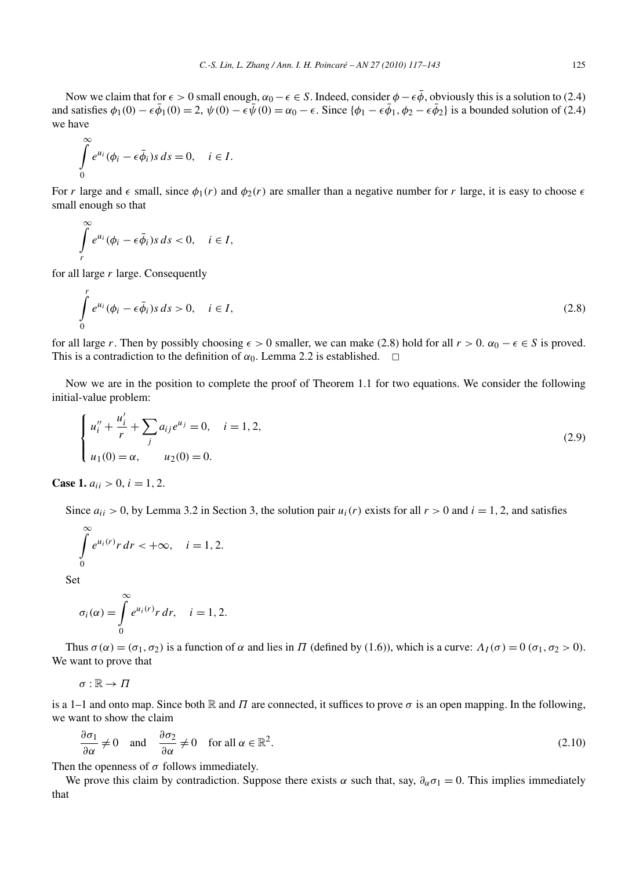Now we claim that for  $\epsilon > 0$  small enough,  $\alpha_0 - \epsilon \in S$ . Indeed, consider  $\phi - \epsilon \bar{\phi}$ , obviously this is a solution to (2.4) and satisfies  $\phi_1(0) - \epsilon \bar{\phi}_1(0) = 2$ ,  $\psi(0) - \epsilon \bar{\psi}(0) = \alpha_0 - \epsilon$ . Since  $\{\phi_1 - \epsilon \bar{\phi}_1, \phi_2 - \epsilon \bar{\phi}_2\}$  is a bounded solution of (2.4) we have

$$
\int_{0}^{\infty} e^{u_i} (\phi_i - \epsilon \bar{\phi}_i) s \, ds = 0, \quad i \in I.
$$

For *r* large and  $\epsilon$  small, since  $\phi_1(r)$  and  $\phi_2(r)$  are smaller than a negative number for *r* large, it is easy to choose  $\epsilon$ small enough so that

$$
\int\limits_r^\infty e^{u_i}(\phi_i-\epsilon\bar{\phi}_i)s\,ds<0,\quad i\in I,
$$

for all large *r* large. Consequently

∞

*r*

$$
\int_{0}^{t} e^{u_i} (\phi_i - \epsilon \bar{\phi}_i) s \, ds > 0, \quad i \in I,
$$
\n(2.8)

for all large *r*. Then by possibly choosing  $\epsilon > 0$  smaller, we can make (2.8) hold for all  $r > 0$ .  $\alpha_0 - \epsilon \in S$  is proved. This is a contradiction to the definition of  $\alpha_0$ . Lemma 2.2 is established.  $\Box$ 

Now we are in the position to complete the proof of Theorem 1.1 for two equations. We consider the following initial-value problem:

$$
\begin{cases}\n u_i'' + \frac{u_i'}{r} + \sum_j a_{ij} e^{u_j} = 0, & i = 1, 2, \\
 u_1(0) = \alpha, & u_2(0) = 0.\n\end{cases}
$$
\n(2.9)

**Case 1.**  $a_{ii} > 0$ ,  $i = 1, 2$ .

Since  $a_{ii} > 0$ , by Lemma 3.2 in Section 3, the solution pair  $u_i(r)$  exists for all  $r > 0$  and  $i = 1, 2$ , and satisfies

$$
\int_{0}^{\infty} e^{u_i(r)} r dr < +\infty, \quad i = 1, 2.
$$

Set

$$
\sigma_i(\alpha) = \int\limits_0^\infty e^{u_i(r)} r \, dr, \quad i = 1, 2.
$$

Thus  $σ(α) = (σ<sub>1</sub>, σ<sub>2</sub>)$  is a function of *α* and lies in *Π* (defined by (1.6)), which is a curve:  $Λ<sub>I</sub>(σ) = 0 (σ<sub>1</sub>, σ<sub>2</sub> > 0)$ . We want to prove that

$$
\sigma:\mathbb{R}\to \varPi
$$

is a 1–1 and onto map. Since both  $\mathbb R$  and  $\Pi$  are connected, it suffices to prove  $\sigma$  is an open mapping. In the following, we want to show the claim

$$
\frac{\partial \sigma_1}{\partial \alpha} \neq 0 \quad \text{and} \quad \frac{\partial \sigma_2}{\partial \alpha} \neq 0 \quad \text{for all } \alpha \in \mathbb{R}^2.
$$
 (2.10)

Then the openness of  $\sigma$  follows immediately.

We prove this claim by contradiction. Suppose there exists  $\alpha$  such that, say,  $\partial_{\alpha}\sigma_1 = 0$ . This implies immediately that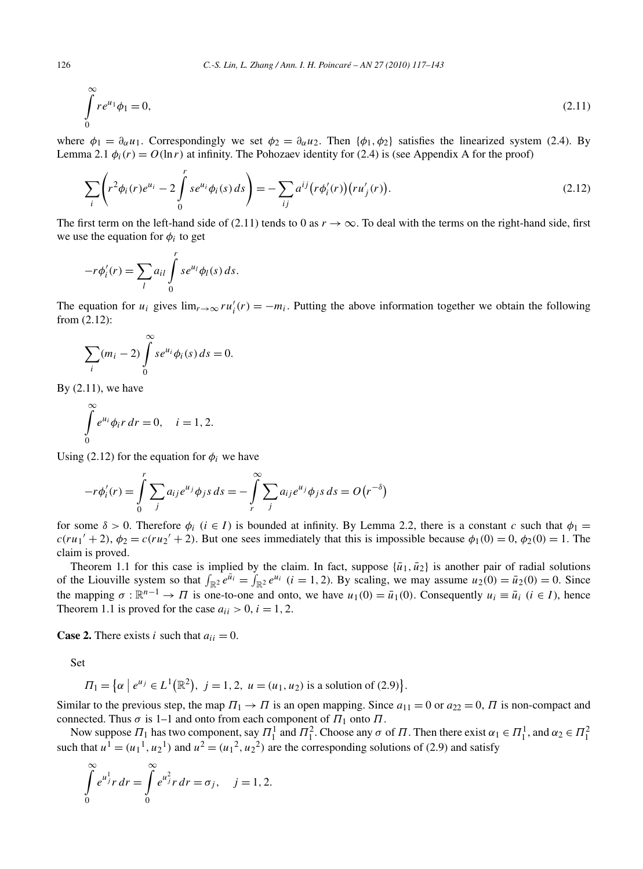$$
\int_{0}^{\infty} r e^{u_1} \phi_1 = 0,
$$
\n(2.11)

where  $\phi_1 = \partial_\alpha u_1$ . Correspondingly we set  $\phi_2 = \partial_\alpha u_2$ . Then  $\{\phi_1, \phi_2\}$  satisfies the linearized system (2.4). By Lemma 2.1  $\phi_i(r) = O(\ln r)$  at infinity. The Pohozaev identity for (2.4) is (see Appendix A for the proof)

$$
\sum_{i} \left( r^2 \phi_i(r) e^{u_i} - 2 \int_0^r s e^{u_i} \phi_i(s) ds \right) = - \sum_{ij} a^{ij} \left( r \phi'_i(r) \right) \left( r u'_j(r) \right). \tag{2.12}
$$

The first term on the left-hand side of (2.11) tends to 0 as  $r \to \infty$ . To deal with the terms on the right-hand side, first we use the equation for  $\phi_i$  to get

$$
-r\phi_i'(r) = \sum_l a_{il} \int\limits_0^r s e^{u_l} \phi_l(s) ds.
$$

The equation for  $u_i$  gives  $\lim_{r\to\infty} ru'_i(r) = -m_i$ . Putting the above information together we obtain the following from (2.12):

$$
\sum_i (m_i - 2) \int_0^\infty s e^{u_i} \phi_i(s) \, ds = 0.
$$

By  $(2.11)$ , we have

$$
\int_{0}^{\infty} e^{u_i} \phi_i r dr = 0, \quad i = 1, 2.
$$

Using (2.12) for the equation for  $\phi_i$  we have

$$
-r\phi_i'(r) = \int_0^r \sum_j a_{ij} e^{u_j} \phi_j s \, ds = -\int_r^\infty \sum_j a_{ij} e^{u_j} \phi_j s \, ds = O\left(r^{-\delta}\right)
$$

for some  $\delta > 0$ . Therefore  $\phi_i$  ( $i \in I$ ) is bounded at infinity. By Lemma 2.2, there is a constant *c* such that  $\phi_1 =$  $c(ru_1' + 2)$ ,  $\phi_2 = c(ru_2' + 2)$ . But one sees immediately that this is impossible because  $\phi_1(0) = 0$ ,  $\phi_2(0) = 1$ . The claim is proved.

Theorem 1.1 for this case is implied by the claim. In fact, suppose  $\{\bar{u}_1, \bar{u}_2\}$  is another pair of radial solutions of the Liouville system so that  $\int_{\mathbb{R}^2} e^{\bar{u}_i} = \int_{\mathbb{R}^2} e^{u_i}$  (*i* = 1, 2). By scaling, we may assume  $u_2(0) = \bar{u}_2(0) = 0$ . Since the mapping  $\sigma : \mathbb{R}^{n-1} \to \Pi$  is one-to-one and onto, we have  $u_1(0) = \bar{u}_1(0)$ . Consequently  $u_i \equiv \bar{u}_i$  ( $i \in I$ ), hence Theorem 1.1 is proved for the case  $a_{ii} > 0$ ,  $i = 1, 2$ .

**Case 2.** There exists *i* such that  $a_{ii} = 0$ .

Set

$$
\Pi_1 = \left\{ \alpha \mid e^{u_j} \in L^1(\mathbb{R}^2), \ j = 1, 2, \ u = (u_1, u_2) \text{ is a solution of (2.9)} \right\}.
$$

Similar to the previous step, the map  $\Pi_1 \rightarrow \Pi$  is an open mapping. Since  $a_{11} = 0$  or  $a_{22} = 0$ ,  $\Pi$  is non-compact and connected. Thus  $\sigma$  is 1–1 and onto from each component of  $\Pi_1$  onto  $\Pi$ .

Now suppose  $\Pi_1$  has two component, say  $\Pi_1^1$  and  $\Pi_1^2$ . Choose any  $\sigma$  of  $\Pi$ . Then there exist  $\alpha_1 \in \Pi_1^1$ , and  $\alpha_2 \in \Pi_1^2$ <br>such that  $u^1 = (u_1^1, u_2^1)$  and  $u^2 = (u_1^2, u_2^2)$  are the corresponding sol

$$
\int_{0}^{\infty} e^{u_j^1} r dr = \int_{0}^{\infty} e^{u_j^2} r dr = \sigma_j, \quad j = 1, 2.
$$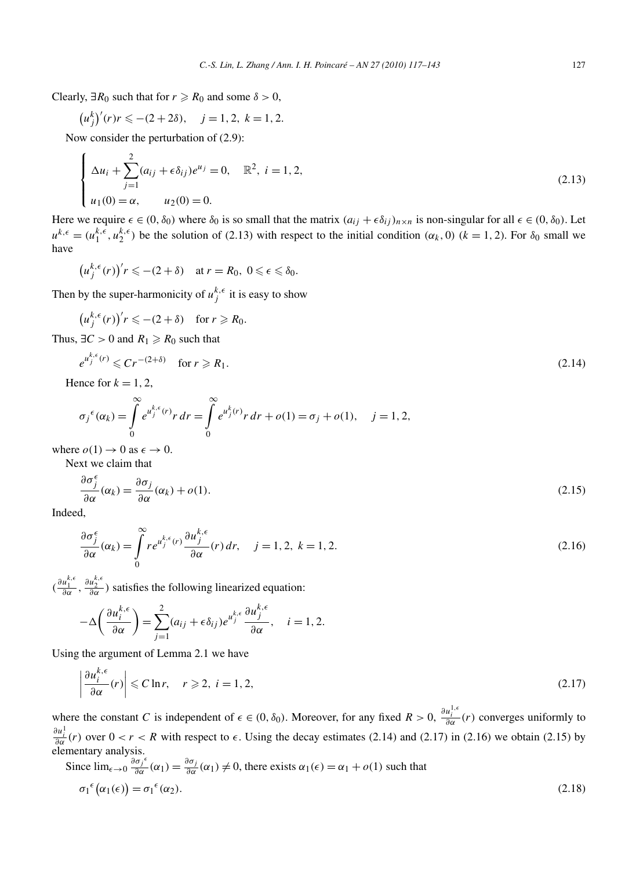Clearly,  $\exists R_0$  such that for  $r \ge R_0$  and some  $\delta > 0$ ,

$$
(u_j^k)'(r)r \leq - (2+2\delta), \quad j = 1, 2, k = 1, 2.
$$

Now consider the perturbation of (2.9):

$$
\begin{cases}\n\Delta u_i + \sum_{j=1}^2 (a_{ij} + \epsilon \delta_{ij}) e^{u_j} = 0, & \mathbb{R}^2, i = 1, 2, \\
u_1(0) = \alpha, & u_2(0) = 0.\n\end{cases}
$$
\n(2.13)

Here we require  $\epsilon \in (0, \delta_0)$  where  $\delta_0$  is so small that the matrix  $(a_{ij} + \epsilon \delta_{ij})_{n \times n}$  is non-singular for all  $\epsilon \in (0, \delta_0)$ . Let  $u^{k,\epsilon} = (u_1^{k,\epsilon}, u_2^{k,\epsilon})$  be the solution of (2.13) with respect to the initial condition  $(\alpha_k, 0)$   $(k = 1, 2)$ . For  $\delta_0$  small we have

$$
\left(u_j^{k,\epsilon}(r)\right)'r \leqslant -(2+\delta) \quad \text{at } r = R_0, \ 0 \leqslant \epsilon \leqslant \delta_0.
$$

Then by the super-harmonicity of  $u_j^{k,\epsilon}$  it is easy to show

$$
\big(u_j^{k,\epsilon}(r)\big)'r \leqslant -(2+\delta) \quad \text{for } r \geqslant R_0.
$$

Thus,  $\exists C > 0$  and  $R_1 \ge R_0$  such that

$$
e^{u_j^{k,\epsilon}(r)} \leqslant Cr^{-(2+\delta)} \quad \text{for } r \geqslant R_1. \tag{2.14}
$$

Hence for  $k = 1, 2$ ,

*uk,*

$$
\sigma_j^{\epsilon}(\alpha_k) = \int_{0}^{\infty} e^{u_j^{k,\epsilon}(r)} r \, dr = \int_{0}^{\infty} e^{u_j^{k}(r)} r \, dr + o(1) = \sigma_j + o(1), \quad j = 1, 2,
$$

where  $o(1) \rightarrow 0$  as  $\epsilon \rightarrow 0$ . Next we claim that

$$
\frac{\partial \sigma_j^{\epsilon}}{\partial \alpha}(\alpha_k) = \frac{\partial \sigma_j}{\partial \alpha}(\alpha_k) + o(1). \tag{2.15}
$$

Indeed,

$$
\frac{\partial \sigma_j^{\epsilon}}{\partial \alpha}(\alpha_k) = \int_0^{\infty} r e^{u_j^{k,\epsilon}(r)} \frac{\partial u_j^{k,\epsilon}}{\partial \alpha}(r) dr, \quad j = 1, 2, k = 1, 2.
$$
 (2.16)

 $(\frac{\partial u_1^{k,\epsilon}}{\partial \alpha}, \frac{\partial u_2^{k,\epsilon}}{\partial \alpha})$  satisfies the following linearized equation:

$$
-\Delta\left(\frac{\partial u_i^{k,\epsilon}}{\partial \alpha}\right) = \sum_{j=1}^2 (a_{ij} + \epsilon \delta_{ij}) e^{u_j^{k,\epsilon}} \frac{\partial u_j^{k,\epsilon}}{\partial \alpha}, \quad i = 1, 2.
$$

Using the argument of Lemma 2.1 we have

$$
\left|\frac{\partial u_i^{k,\epsilon}}{\partial \alpha}(r)\right| \leqslant C \ln r, \quad r \geqslant 2, \ i = 1, 2,
$$
\n
$$
(2.17)
$$

where the constant *C* is independent of  $\epsilon \in (0, \delta_0)$ . Moreover, for any fixed  $R > 0$ ,  $\frac{\partial u_i^{1,\epsilon}}{\partial \alpha}(r)$  converges uniformly to  $\frac{\partial u_i^1}{\partial \alpha}(r)$  over  $0 < r < R$  with respect to  $\epsilon$ . Using the decay estimates (2.14) and (2.17) in (2.16) we obtain (2.15) by elementary analysis.

Since 
$$
\lim_{\epsilon \to 0} \frac{\partial \sigma_j^{\epsilon}}{\partial \alpha}(\alpha_1) = \frac{\partial \sigma_j}{\partial \alpha}(\alpha_1) \neq 0
$$
, there exists  $\alpha_1(\epsilon) = \alpha_1 + o(1)$  such that  
\n
$$
\sigma_1^{\epsilon}(\alpha_1(\epsilon)) = \sigma_1^{\epsilon}(\alpha_2).
$$
\n(2.18)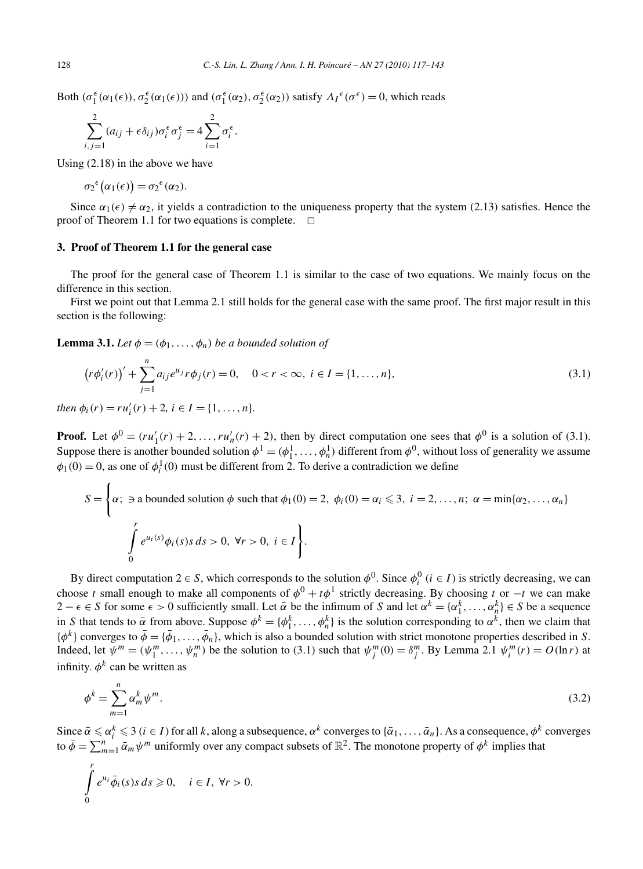Both  $(\sigma_1^{\epsilon}(\alpha_1(\epsilon)), \sigma_2^{\epsilon}(\alpha_1(\epsilon)))$  and  $(\sigma_1^{\epsilon}(\alpha_2), \sigma_2^{\epsilon}(\alpha_2))$  satisfy  $\Lambda_I^{\epsilon}(\sigma^{\epsilon}) = 0$ , which reads

$$
\sum_{i,j=1}^{2} (a_{ij} + \epsilon \delta_{ij}) \sigma_i^{\epsilon} \sigma_j^{\epsilon} = 4 \sum_{i=1}^{2} \sigma_i^{\epsilon}.
$$

Using (2.18) in the above we have

$$
\sigma_2^{\epsilon}(\alpha_1(\epsilon)) = \sigma_2^{\epsilon}(\alpha_2).
$$

Since  $\alpha_1(\epsilon) \neq \alpha_2$ , it yields a contradiction to the uniqueness property that the system (2.13) satisfies. Hence the proof of Theorem 1.1 for two equations is complete.  $\Box$ 

## **3. Proof of Theorem 1.1 for the general case**

The proof for the general case of Theorem 1.1 is similar to the case of two equations. We mainly focus on the difference in this section.

First we point out that Lemma 2.1 still holds for the general case with the same proof. The first major result in this section is the following:

## **Lemma 3.1.** *Let*  $\phi = (\phi_1, \ldots, \phi_n)$  *be a bounded solution of*

$$
\left(r\phi_i'(r)\right)' + \sum_{j=1}^n a_{ij}e^{u_j}r\phi_j(r) = 0, \quad 0 < r < \infty, \ i \in I = \{1, \dots, n\},\tag{3.1}
$$

*then*  $\phi_i(r) = ru'_i(r) + 2, i \in I = \{1, ..., n\}.$ 

**Proof.** Let  $\phi^0 = (ru'_1(r) + 2, ..., ru'_n(r) + 2)$ , then by direct computation one sees that  $\phi^0$  is a solution of (3.1). Suppose there is another bounded solution  $\phi^1 = (\phi_1^1, \dots, \phi_n^1)$  different from  $\phi^0$ , without loss of generality we assume  $\phi_1(0) = 0$ , as one of  $\phi_i^1(0)$  must be different from 2. To derive a contradiction we define

$$
S = \left\{ \alpha; \exists \text{ a bounded solution } \phi \text{ such that } \phi_1(0) = 2, \ \phi_i(0) = \alpha_i \leq 3, \ i = 2, \dots, n; \ \alpha = \min\{\alpha_2, \dots, \alpha_n\}
$$

$$
\int_0^r e^{u_i(s)} \phi_i(s) s \, ds > 0, \ \forall r > 0, \ i \in I \right\}.
$$

By direct computation  $2 \in S$ , which corresponds to the solution  $\phi^0$ . Since  $\phi_i^0$  ( $i \in I$ ) is strictly decreasing, we can choose *t* small enough to make all components of  $\phi^0 + t\phi^1$  strictly decreasing. By choosing *t* or −*t* we can make  $2 - \epsilon \in S$  for some  $\epsilon > 0$  sufficiently small. Let  $\bar{\alpha}$  be the infimum of *S* and let  $\alpha^k = {\alpha_1^k, \dots, \alpha_n^k} \in S$  be a sequence in *S* that tends to  $\bar{\alpha}$  from above. Suppose  $\phi^k = {\phi_1^k, \ldots, \phi_n^k}$  is the solution corresponding to  $\alpha^k$ , then we claim that  ${\phi^k}$  converges to  $\bar{\phi} = {\bar{\phi}_1, \ldots, \bar{\phi}_n}$ , which is also a bounded solution with strict monotone properties described in *S*. Indeed, let  $\psi^m = (\psi_1^m, \dots, \psi_n^m)$  be the solution to (3.1) such that  $\psi_j^m(0) = \delta_j^m$ . By Lemma 2.1  $\psi_i^m(r) = O(\ln r)$  at infinity.  $\phi^k$  can be written as

$$
\phi^k = \sum_{m=1}^n \alpha_m^k \psi^m. \tag{3.2}
$$

Since  $\bar{\alpha} \le \alpha_i^k \le 3$  ( $i \in I$ ) for all *k*, along a subsequence,  $\alpha^k$  converges to  $\{\bar{\alpha}_1, \ldots, \bar{\alpha}_n\}$ . As a consequence,  $\phi^k$  converges to  $\bar{\phi} = \sum_{m=1}^{n} \bar{\alpha}_m \psi^m$  uniformly over any compact subsets of  $\mathbb{R}^2$ . The monotone property of  $\phi^k$  implies that

$$
\int_{0}^{r} e^{u_i} \bar{\phi}_i(s) s \, ds \geq 0, \quad i \in I, \ \forall r > 0.
$$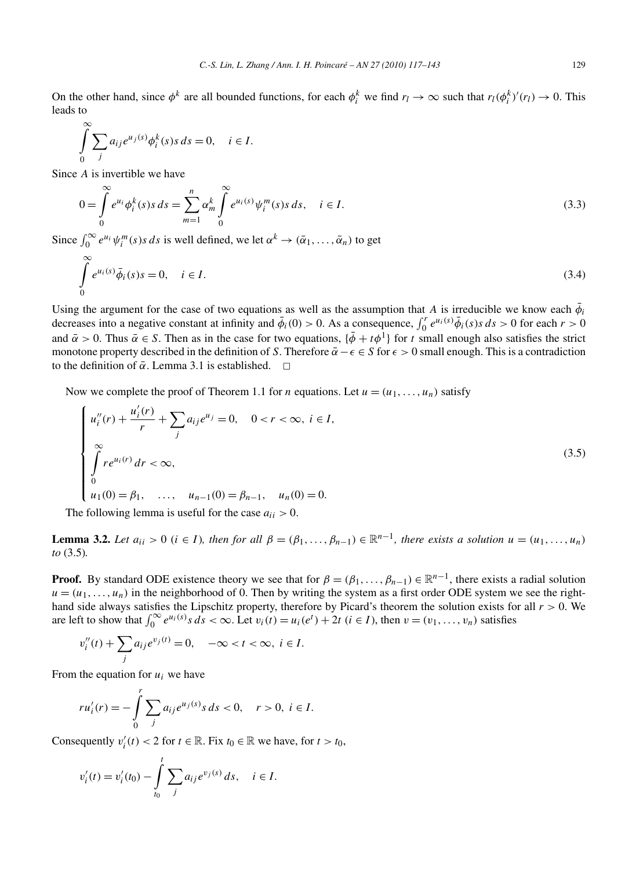On the other hand, since  $\phi^k$  are all bounded functions, for each  $\phi_i^k$  we find  $r_l \to \infty$  such that  $r_l(\phi_i^k)'(r_l) \to 0$ . This leads to

$$
\int_{0}^{\infty} \sum_{j} a_{ij} e^{u_j(s)} \phi_i^k(s) s \, ds = 0, \quad i \in I.
$$

Since *A* is invertible we have

$$
0 = \int_{0}^{\infty} e^{u_i} \phi_i^k(s) s \, ds = \sum_{m=1}^{n} \alpha_m^k \int_{0}^{\infty} e^{u_i(s)} \psi_i^m(s) s \, ds, \quad i \in I.
$$
\n(3.3)

Since  $\int_0^\infty e^{u_i} \psi_i^m(s) s ds$  is well defined, we let  $\alpha^k \to (\bar{\alpha}_1, \dots, \bar{\alpha}_n)$  to get

$$
\int_{0}^{\infty} e^{u_i(s)} \bar{\phi}_i(s) s = 0, \quad i \in I.
$$
\n(3.4)

Using the argument for the case of two equations as well as the assumption that *A* is irreducible we know each  $\bar{\phi}$ *i* decreases into a negative constant at infinity and  $\bar{\phi}_i(0) > 0$ . As a consequence,  $\int_0^r e^{u_i(s)} \bar{\phi}_i(s) s ds > 0$  for each  $r > 0$ and  $\bar{\alpha} > 0$ . Thus  $\bar{\alpha} \in S$ . Then as in the case for two equations,  $\{\bar{\phi} + t\phi^{\bar{1}}\}$  for *t* small enough also satisfies the strict monotone property described in the definition of *S*. Therefore  $\bar{\alpha} - \epsilon \in S$  for  $\epsilon > 0$  small enough. This is a contradiction to the definition of  $\bar{\alpha}$ . Lemma 3.1 is established.  $\Box$ 

Now we complete the proof of Theorem 1.1 for *n* equations. Let  $u = (u_1, \ldots, u_n)$  satisfy

$$
\begin{cases}\n u_i''(r) + \frac{u_i'(r)}{r} + \sum_j a_{ij} e^{u_j} = 0, & 0 < r < \infty, i \in I, \\
 \int_0^\infty r e^{u_i(r)} dr < \infty, \\
 0 & (3.5) \\
 u_1(0) = \beta_1, \quad \dots, \quad u_{n-1}(0) = \beta_{n-1}, \quad u_n(0) = 0.\n\end{cases}
$$

The following lemma is useful for the case  $a_{ii} > 0$ .

**Lemma 3.2.** *Let*  $a_{ii} > 0$  ( $i \in I$ )*, then for all*  $\beta = (\beta_1, \ldots, \beta_{n-1}) \in \mathbb{R}^{n-1}$ *, there exists a solution*  $u = (u_1, \ldots, u_n)$ *to* (3.5)*.*

**Proof.** By standard ODE existence theory we see that for  $\beta = (\beta_1, \dots, \beta_{n-1}) \in \mathbb{R}^{n-1}$ , there exists a radial solution  $u = (u_1, \ldots, u_n)$  in the neighborhood of 0. Then by writing the system as a first order ODE system we see the righthand side always satisfies the Lipschitz property, therefore by Picard's theorem the solution exists for all *r >* 0. We are left to show that  $\int_0^\infty e^{u_i(s)} s ds < \infty$ . Let  $v_i(t) = u_i(e^t) + 2t$   $(i \in I)$ , then  $v = (v_1, \ldots, v_n)$  satisfies

$$
v_i''(t) + \sum_j a_{ij} e^{v_j(t)} = 0, \quad -\infty < t < \infty, \ i \in I.
$$

From the equation for *ui* we have

$$
ru'_{i}(r) = -\int_{0}^{r} \sum_{j} a_{ij} e^{u_{j}(s)} s \, ds < 0, \quad r > 0, \ i \in I.
$$

Consequently  $v_i'(t) < 2$  for  $t \in \mathbb{R}$ . Fix  $t_0 \in \mathbb{R}$  we have, for  $t > t_0$ ,

$$
v'_{i}(t) = v'_{i}(t_{0}) - \int_{t_{0}}^{t} \sum_{j} a_{ij} e^{v_{j}(s)} ds, \quad i \in I.
$$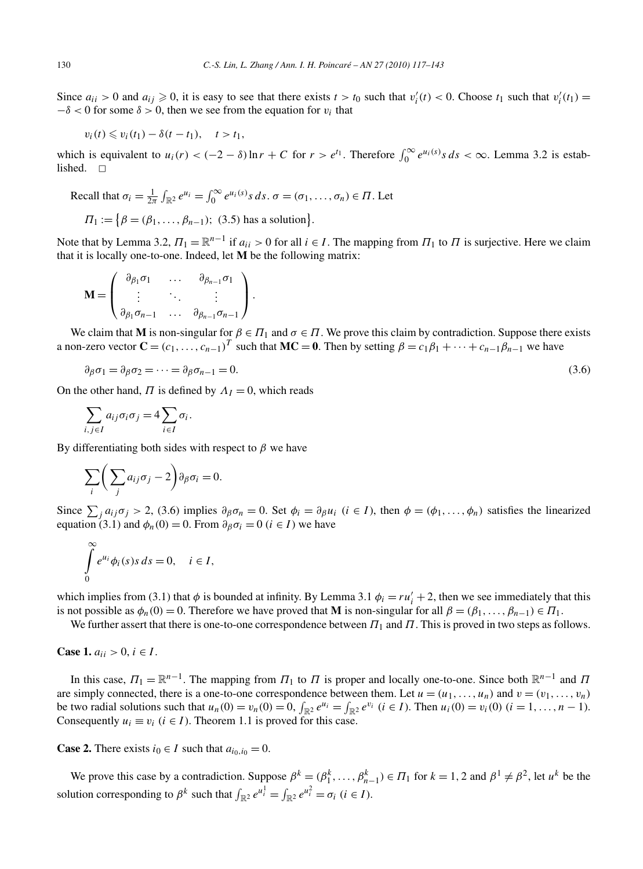Since  $a_{ii} > 0$  and  $a_{ij} \ge 0$ , it is easy to see that there exists  $t > t_0$  such that  $v'_i(t) < 0$ . Choose  $t_1$  such that  $v'_i(t_1) =$  $-\delta$  < 0 for some  $\delta$  > 0, then we see from the equation for *v<sub>i</sub>* that

$$
v_i(t) \leqslant v_i(t_1) - \delta(t - t_1), \quad t > t_1,
$$

which is equivalent to  $u_i(r) < (-2 - \delta) \ln r + C$  for  $r > e^{t_1}$ . Therefore  $\int_0^\infty e^{u_i(s)} s \, ds < \infty$ . Lemma 3.2 is established.  $\Box$ 

Recall that 
$$
\sigma_i = \frac{1}{2\pi} \int_{\mathbb{R}^2} e^{u_i} = \int_0^\infty e^{u_i(s)} s \, ds
$$
.  $\sigma = (\sigma_1, \dots, \sigma_n) \in \Pi$ . Let

$$
\Pi_1 := \{ \beta = (\beta_1, ..., \beta_{n-1}); (3.5) \text{ has a solution} \}.
$$

Note that by Lemma 3.2,  $\Pi_1 = \mathbb{R}^{n-1}$  if  $a_{ii} > 0$  for all  $i \in I$ . The mapping from  $\Pi_1$  to  $\Pi$  is surjective. Here we claim that it is locally one-to-one. Indeed, let **M** be the following matrix:

$$
\mathbf{M} = \begin{pmatrix} \partial_{\beta_1} \sigma_1 & \dots & \partial_{\beta_{n-1}} \sigma_1 \\ \vdots & \ddots & \vdots \\ \partial_{\beta_1} \sigma_{n-1} & \dots & \partial_{\beta_{n-1}} \sigma_{n-1} \end{pmatrix}.
$$

We claim that **M** is non-singular for  $\beta \in \Pi_1$  and  $\sigma \in \Pi$ . We prove this claim by contradiction. Suppose there exists a non-zero vector  $\mathbf{C} = (c_1, \ldots, c_{n-1})^T$  such that  $\mathbf{MC} = \mathbf{0}$ . Then by setting  $\beta = c_1\beta_1 + \cdots + c_{n-1}\beta_{n-1}$  we have

$$
\partial_{\beta}\sigma_1 = \partial_{\beta}\sigma_2 = \dots = \partial_{\beta}\sigma_{n-1} = 0. \tag{3.6}
$$

On the other hand,  $\Pi$  is defined by  $\Lambda_I = 0$ , which reads

$$
\sum_{i,j\in I} a_{ij}\sigma_i\sigma_j = 4\sum_{i\in I} \sigma_i.
$$

By differentiating both sides with respect to *β* we have

$$
\sum_{i} \bigg( \sum_{j} a_{ij} \sigma_j - 2 \bigg) \partial_{\beta} \sigma_i = 0.
$$

Since  $\sum_j a_{ij}\sigma_j > 2$ , (3.6) implies  $\partial_\beta \sigma_n = 0$ . Set  $\phi_i = \partial_\beta u_i$  ( $i \in I$ ), then  $\phi = (\phi_1, \dots, \phi_n)$  satisfies the linearized equation (3.1) and  $\phi_n(0) = 0$ . From  $\partial_\beta \sigma_i = 0$  ( $i \in I$ ) we have

$$
\int_{0}^{\infty} e^{u_i} \phi_i(s) s \, ds = 0, \quad i \in I,
$$

which implies from (3.1) that  $\phi$  is bounded at infinity. By Lemma 3.1  $\phi_i = ru'_i + 2$ , then we see immediately that this is not possible as  $\phi_n(0) = 0$ . Therefore we have proved that **M** is non-singular for all  $\beta = (\beta_1, \dots, \beta_{n-1}) \in \Pi_1$ .

We further assert that there is one-to-one correspondence between *Π*<sup>1</sup> and *Π*. This is proved in two steps as follows.

**Case 1.**  $a_{ii} > 0, i \in I$ .

In this case,  $\Pi_1 = \mathbb{R}^{n-1}$ . The mapping from  $\Pi_1$  to  $\Pi$  is proper and locally one-to-one. Since both  $\mathbb{R}^{n-1}$  and  $\Pi$ are simply connected, there is a one-to-one correspondence between them. Let  $u = (u_1, \ldots, u_n)$  and  $v = (v_1, \ldots, v_n)$ be two radial solutions such that  $u_n(0) = v_n(0) = 0$ ,  $\int_{\mathbb{R}^2} e^{u_i} = \int_{\mathbb{R}^2} e^{v_i}$   $(i \in I)$ . Then  $u_i(0) = v_i(0)$   $(i = 1, ..., n-1)$ . Consequently  $u_i \equiv v_i$  ( $i \in I$ ). Theorem 1.1 is proved for this case.

**Case 2.** There exists  $i_0 \in I$  such that  $a_{i_0, i_0} = 0$ .

We prove this case by a contradiction. Suppose  $\beta^k = (\beta_1^k, \dots, \beta_{n-1}^k) \in \Pi_1$  for  $k = 1, 2$  and  $\beta^1 \neq \beta^2$ , let  $u^k$  be the solution corresponding to  $\beta^k$  such that  $\int_{\mathbb{R}^2} e^{u_i^1} = \int_{\mathbb{R}^2} e^{u_i^2} = \sigma_i$  ( $i \in I$ ).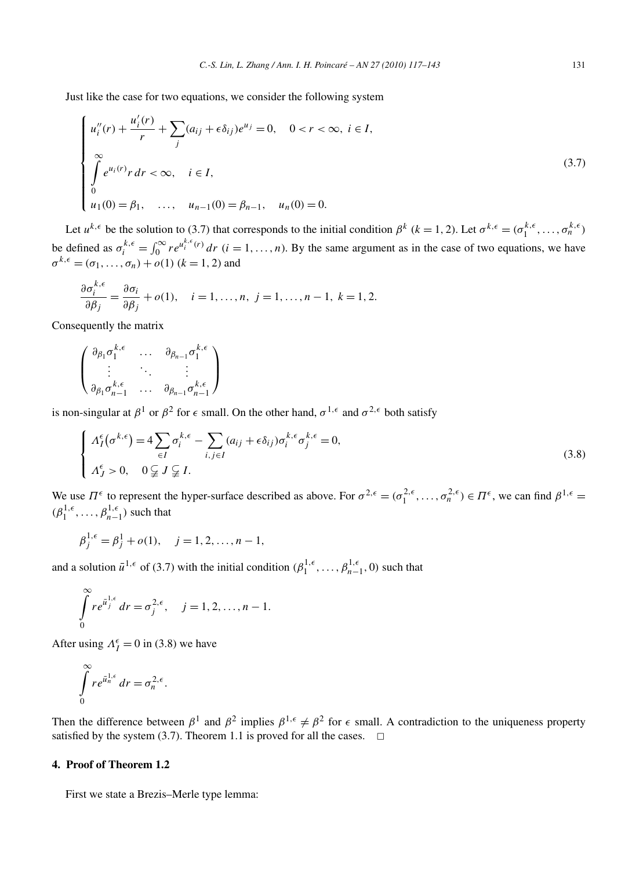Just like the case for two equations, we consider the following system

$$
\begin{cases}\n u_i''(r) + \frac{u_i'(r)}{r} + \sum_j (a_{ij} + \epsilon \delta_{ij})e^{u_j} = 0, \quad 0 < r < \infty, \ i \in I, \\
 \int_0^\infty e^{u_i(r)} r dr < \infty, \quad i \in I, \\
 0 \\
 u_1(0) = \beta_1, \quad \dots, \quad u_{n-1}(0) = \beta_{n-1}, \quad u_n(0) = 0.\n\end{cases} \tag{3.7}
$$

Let  $u^{k, \epsilon}$  be the solution to (3.7) that corresponds to the initial condition  $\beta^k$  ( $k = 1, 2$ ). Let  $\sigma^{k, \epsilon} = (\sigma_1^{k, \epsilon}, \dots, \sigma_n^{k, \epsilon})$ be defined as  $\sigma_i^{k,\epsilon} = \int_0^\infty r e^{u_i^{k,\epsilon}(r)} dr$  (*i* = 1, ..., *n*). By the same argument as in the case of two equations, we have  $\sigma^{k, \epsilon} = (\sigma_1, \ldots, \sigma_n) + o(1)$  ( $k = 1, 2$ ) and

$$
\frac{\partial \sigma_i^{k,\epsilon}}{\partial \beta_j} = \frac{\partial \sigma_i}{\partial \beta_j} + o(1), \quad i = 1, \dots, n, \ j = 1, \dots, n-1, \ k = 1, 2.
$$

Consequently the matrix

$$
\begin{pmatrix}\n\partial_{\beta_1}\sigma_1^{k,\epsilon} & \cdots & \partial_{\beta_{n-1}}\sigma_1^{k,\epsilon} \\
\vdots & \ddots & \vdots \\
\partial_{\beta_1}\sigma_{n-1}^{k,\epsilon} & \cdots & \partial_{\beta_{n-1}}\sigma_{n-1}^{k,\epsilon}\n\end{pmatrix}
$$

is non-singular at  $\beta^1$  or  $\beta^2$  for  $\epsilon$  small. On the other hand,  $\sigma^{1,\epsilon}$  and  $\sigma^{2,\epsilon}$  both satisfy

$$
\begin{cases}\n\Lambda_I^{\epsilon}(\sigma^{k,\epsilon}) = 4 \sum_{\epsilon I} \sigma_i^{k,\epsilon} - \sum_{i,j \in I} (a_{ij} + \epsilon \delta_{ij}) \sigma_i^{k,\epsilon} \sigma_j^{k,\epsilon} = 0, \\
\Lambda_J^{\epsilon} > 0, \quad 0 \subsetneqq J \subsetneqq I.\n\end{cases} \tag{3.8}
$$

We use  $\Pi^{\epsilon}$  to represent the hyper-surface described as above. For  $\sigma^{2,\epsilon} = (\sigma_1^{2,\epsilon}, \dots, \sigma_n^{2,\epsilon}) \in \Pi^{\epsilon}$ , we can find  $\beta^{1,\epsilon} =$  $(\beta_1^{1,\epsilon}, \ldots, \beta_{n-1}^{1,\epsilon})$  such that

$$
\beta_j^{1,\epsilon} = \beta_j^1 + o(1), \quad j = 1, 2, \dots, n-1,
$$

and a solution  $\bar{u}^{1,\epsilon}$  of (3.7) with the initial condition  $(\beta_1^{1,\epsilon}, \ldots, \beta_{n-1}^{1,\epsilon}, 0)$  such that

$$
\int_{0}^{\infty} re^{\bar{u}_{j}^{1,\epsilon}} dr = \sigma_{j}^{2,\epsilon}, \quad j = 1, 2, ..., n-1.
$$

After using  $\Lambda_I^{\epsilon} = 0$  in (3.8) we have

$$
\int\limits_{0}^{\infty}re^{\bar{u}_{n}^{1,\epsilon}} dr = \sigma_{n}^{2,\epsilon}.
$$

Then the difference between  $\beta^1$  and  $\beta^2$  implies  $\beta^{1,\epsilon} \neq \beta^2$  for  $\epsilon$  small. A contradiction to the uniqueness property satisfied by the system (3.7). Theorem 1.1 is proved for all the cases.  $\Box$ 

# **4. Proof of Theorem 1.2**

First we state a Brezis–Merle type lemma: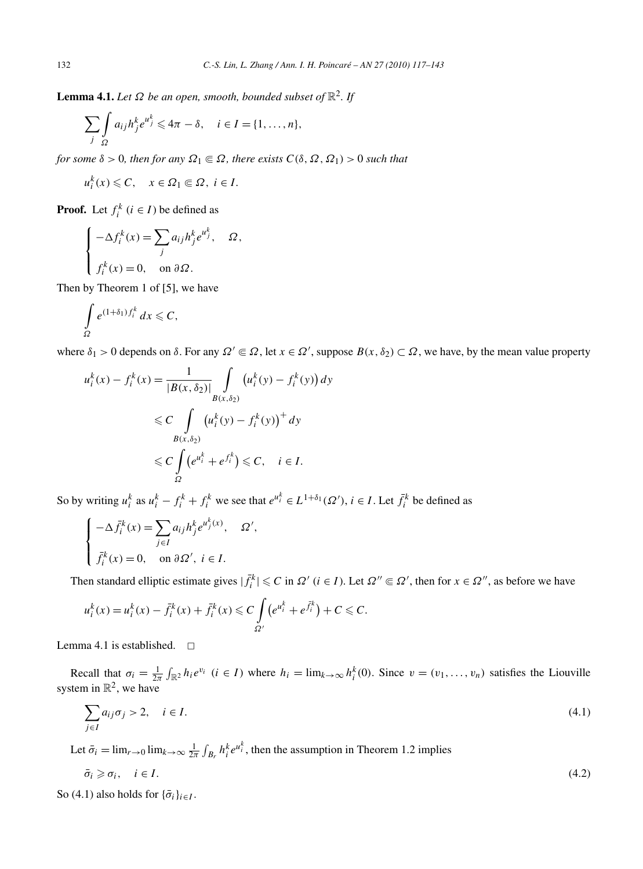**Lemma 4.1.** *Let*  $\Omega$  *be an open, smooth, bounded subset of*  $\mathbb{R}^2$ *. If* 

$$
\sum_{j} \int_{\Omega} a_{ij} h_j^k e^{u_j^k} \leq 4\pi - \delta, \quad i \in I = \{1, \dots, n\},\
$$

*for some*  $\delta > 0$ *, then for any*  $\Omega_1 \subseteq \Omega$ *, there exists*  $C(\delta, \Omega, \Omega_1) > 0$  *such that* 

$$
u_i^k(x) \leqslant C, \quad x \in \Omega_1 \Subset \Omega, \ i \in I.
$$

**Proof.** Let  $f_i^k$  ( $i \in I$ ) be defined as

$$
\begin{cases}\n-\Delta f_i^k(x) = \sum_j a_{ij} h_j^k e^{u_j^k}, & \Omega, \\
f_i^k(x) = 0, & \text{on } \partial \Omega.\n\end{cases}
$$

Then by Theorem 1 of [5], we have

$$
\int\limits_{\Omega}e^{(1+\delta_1)f_i^k}\,dx\leqslant C,
$$

where  $\delta_1 > 0$  depends on  $\delta$ . For any  $\Omega' \subseteq \Omega$ , let  $x \in \Omega'$ , suppose  $B(x, \delta_2) \subset \Omega$ , we have, by the mean value property

$$
u_i^k(x) - f_i^k(x) = \frac{1}{|B(x, \delta_2)|} \int_{B(x, \delta_2)} (u_i^k(y) - f_i^k(y)) dy
$$
  
\n
$$
\leq C \int_{B(x, \delta_2)} (u_i^k(y) - f_i^k(y))^+ dy
$$
  
\n
$$
\leq C \int_{\Omega} (e^{u_i^k} + e^{f_i^k}) \leq C, \quad i \in I.
$$

So by writing  $u_i^k$  as  $u_i^k - f_i^k + f_i^k$  we see that  $e^{u_i^k} \in L^{1+\delta_1}(\Omega'), i \in I$ . Let  $\bar{f}_i^k$  be defined as

$$
\begin{cases}\n-\Delta \bar{f}_i^k(x) = \sum_{j \in I} a_{ij} h_j^k e^{u_j^k(x)}, & \Omega', \\
\bar{f}_i^k(x) = 0, & \text{on } \partial \Omega', \ i \in I.\n\end{cases}
$$

Then standard elliptic estimate gives  $|\bar{f}_i^k| \leq C$  in  $\Omega'$  ( $i \in I$ ). Let  $\Omega'' \subseteq \Omega'$ , then for  $x \in \Omega''$ , as before we have

$$
u_i^k(x) = u_i^k(x) - \bar{f}_i^k(x) + \bar{f}_i^k(x) \leq C \int_{\Omega'} (e^{u_i^k} + e^{\bar{f}_i^k}) + C \leq C.
$$

Lemma 4.1 is established.  $\square$ 

Recall that  $\sigma_i = \frac{1}{2\pi} \int_{\mathbb{R}^2} h_i e^{v_i}$  ( $i \in I$ ) where  $h_i = \lim_{k \to \infty} h_i^k(0)$ . Since  $v = (v_1, \dots, v_n)$  satisfies the Liouville system in  $\mathbb{R}^2$ , we have

$$
\sum_{j \in I} a_{ij} \sigma_j > 2, \quad i \in I. \tag{4.1}
$$

Let  $\bar{\sigma}_i = \lim_{r \to 0} \lim_{k \to \infty} \frac{1}{2\pi} \int_{B_r} h_i^k e^{u_i^k}$ , then the assumption in Theorem 1.2 implies

$$
\bar{\sigma}_i \geqslant \sigma_i, \quad i \in I. \tag{4.2}
$$

So (4.1) also holds for  $\{\bar{\sigma}_i\}_{i \in I}$ .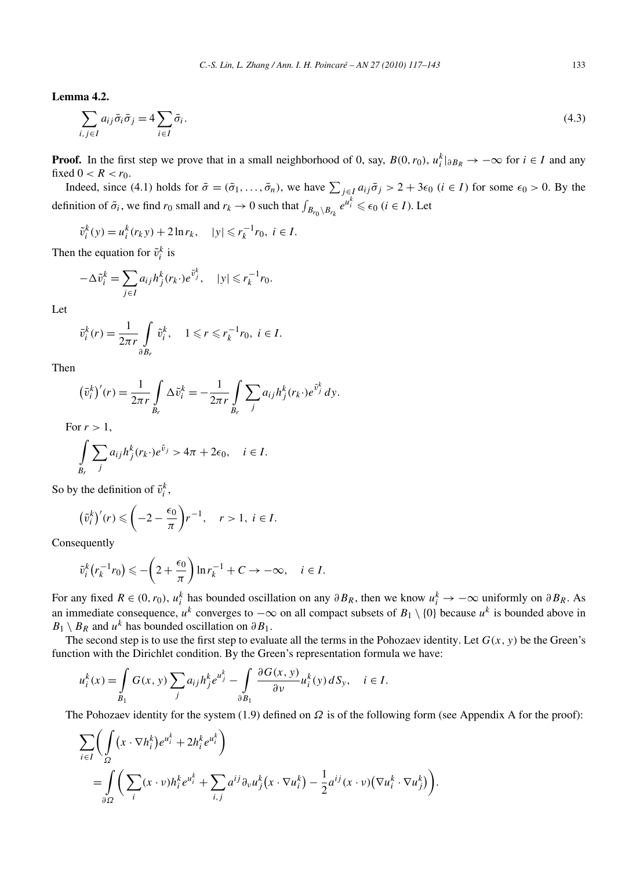**Lemma 4.2.**

$$
\sum_{i,j\in I} a_{ij}\bar{\sigma}_i\bar{\sigma}_j = 4\sum_{i\in I} \bar{\sigma}_i.
$$
\n(4.3)

**Proof.** In the first step we prove that in a small neighborhood of 0, say,  $B(0, r_0)$ ,  $u_i^k|_{\partial B_R} \to -\infty$  for  $i \in I$  and any fixed  $0 < R < r_0$ .

Indeed, since (4.1) holds for  $\bar{\sigma} = (\bar{\sigma}_1, \ldots, \bar{\sigma}_n)$ , we have  $\sum_{j \in I} a_{ij} \bar{\sigma}_j > 2 + 3\epsilon_0$  (*i* ∈ *I*) for some  $\epsilon_0 > 0$ . By the definition of  $\bar{\sigma}_i$ , we find  $r_0$  small and  $r_k \to 0$  such that  $\int_{B_{r_0} \setminus B_{r_k}} e^{u_i^k} \leq \epsilon_0$  ( $i \in I$ ). Let

 $\tilde{v}_i^k(y) = u_i^k(r_k y) + 2 \ln r_k, \quad |y| \leq r_k^{-1} r_0, \ i \in I.$ 

Then the equation for  $\tilde{v}_i^k$  is

$$
-\Delta \tilde{v}_i^k = \sum_{j \in I} a_{ij} h_j^k(r_k) e^{\tilde{v}_j^k}, \quad |y| \leq r_k^{-1} r_0.
$$

Let

$$
\bar{v}_i^k(r) = \frac{1}{2\pi r} \int\limits_{\partial B_r} \tilde{v}_i^k, \quad 1 \leqslant r \leqslant r_k^{-1} r_0, \ i \in I.
$$

Then

$$
\left(\bar{v}_i^k\right)'(r) = \frac{1}{2\pi r} \int\limits_{B_r} \Delta \tilde{v}_i^k = -\frac{1}{2\pi r} \int\limits_{B_r} \sum_j a_{ij} h_j^k(r_k \cdot) e^{\tilde{v}_j^k} dy.
$$

For  $r > 1$ ,

$$
\int_{B_r} \sum_j a_{ij} h_j^k(r_k \cdot) e^{\tilde{v}_j} > 4\pi + 2\epsilon_0, \quad i \in I.
$$

So by the definition of  $\tilde{v}_i^k$ ,

$$
\left(\bar{v}_i^k\right)'(r) \leqslant \left(-2 - \frac{\epsilon_0}{\pi}\right)r^{-1}, \quad r > 1, \ i \in I.
$$

Consequently

$$
\bar{v}_i^k(r_k^{-1}r_0) \leqslant -\left(2+\frac{\epsilon_0}{\pi}\right)\ln r_k^{-1} + C \to -\infty, \quad i \in I.
$$

For any fixed  $R \in (0, r_0)$ ,  $u_i^k$  has bounded oscillation on any  $\partial B_R$ , then we know  $u_i^k \to -\infty$  uniformly on  $\partial B_R$ . As an immediate consequence,  $u^k$  converges to  $-\infty$  on all compact subsets of  $B_1 \setminus \{0\}$  because  $u^k$  is bounded above in  $B_1 \setminus B_R$  and  $u^k$  has bounded oscillation on  $\partial B_1$ .

The second step is to use the first step to evaluate all the terms in the Pohozaev identity. Let  $G(x, y)$  be the Green's function with the Dirichlet condition. By the Green's representation formula we have:

$$
u_i^k(x) = \int_{B_1} G(x, y) \sum_j a_{ij} h_j^k e^{u_j^k} - \int_{\partial B_1} \frac{\partial G(x, y)}{\partial v} u_i^k(y) dS_y, \quad i \in I.
$$

The Pohozaev identity for the system (1.9) defined on *Ω* is of the following form (see Appendix A for the proof):

$$
\sum_{i \in I} \left( \int_{\Omega} (x \cdot \nabla h_i^k) e^{u_i^k} + 2h_i^k e^{u_i^k} \right)
$$
  
= 
$$
\int_{\partial \Omega} \left( \sum_i (x \cdot \nu) h_i^k e^{u_i^k} + \sum_{i,j} a^{ij} \partial_{\nu} u_j^k (x \cdot \nabla u_i^k) - \frac{1}{2} a^{ij} (x \cdot \nu) (\nabla u_i^k \cdot \nabla u_j^k) \right).
$$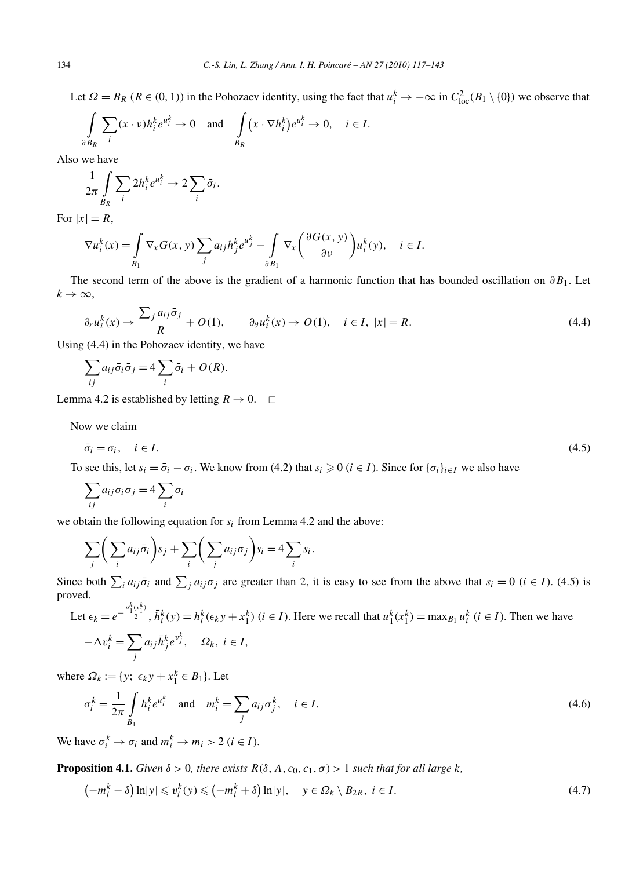Let  $\Omega = B_R$  ( $R \in (0, 1)$ ) in the Pohozaev identity, using the fact that  $u_i^k \to -\infty$  in  $C_{loc}^2(B_1 \setminus \{0\})$  we observe that

$$
\int_{\partial B_R} \sum_i (x \cdot v) h_i^k e^{u_i^k} \to 0 \quad \text{and} \quad \int_{B_R} (x \cdot \nabla h_i^k) e^{u_i^k} \to 0, \quad i \in I.
$$

Also we have

$$
\frac{1}{2\pi} \int\limits_{B_R} \sum_i 2h_i^k e^{u_i^k} \to 2 \sum_i \bar{\sigma}_i.
$$

For  $|x| = R$ ,

$$
\nabla u_i^k(x) = \int_{B_1} \nabla_x G(x, y) \sum_j a_{ij} h_j^k e^{u_j^k} - \int_{\partial B_1} \nabla_x \left( \frac{\partial G(x, y)}{\partial v} \right) u_i^k(y), \quad i \in I.
$$

The second term of the above is the gradient of a harmonic function that has bounded oscillation on *∂B*1. Let  $k \rightarrow \infty$ ,

$$
\partial_r u_i^k(x) \to \frac{\sum_j a_{ij} \bar{\sigma}_j}{R} + O(1), \qquad \partial_\theta u_i^k(x) \to O(1), \quad i \in I, \ |x| = R. \tag{4.4}
$$

Using (4.4) in the Pohozaev identity, we have

$$
\sum_{ij} a_{ij} \bar{\sigma}_i \bar{\sigma}_j = 4 \sum_i \bar{\sigma}_i + O(R).
$$

Lemma 4.2 is established by letting  $R \to 0$ .  $\Box$ 

Now we claim

$$
\bar{\sigma}_i = \sigma_i, \quad i \in I. \tag{4.5}
$$

To see this, let  $s_i = \bar{\sigma}_i - \sigma_i$ . We know from (4.2) that  $s_i \geq 0$  ( $i \in I$ ). Since for  $\{\sigma_i\}_{i \in I}$  we also have

$$
\sum_{ij} a_{ij} \sigma_i \sigma_j = 4 \sum_i \sigma_i
$$

we obtain the following equation for *si* from Lemma 4.2 and the above:

$$
\sum_j \bigg( \sum_i a_{ij} \bar{\sigma}_i \bigg) s_j + \sum_i \bigg( \sum_j a_{ij} \sigma_j \bigg) s_i = 4 \sum_i s_i.
$$

Since both  $\sum_i a_{ij}\bar{\sigma}_i$  and  $\sum_j a_{ij}\sigma_j$  are greater than 2, it is easy to see from the above that  $s_i = 0$  ( $i \in I$ ). (4.5) is proved.  $\vec{b}$   $\vec{b}$ 

Let 
$$
\epsilon_k = e^{-\frac{u_1^k(x_1^k)}{2}}
$$
,  $\bar{h}_i^k(y) = h_i^k(\epsilon_k y + x_1^k)$   $(i \in I)$ . Here we recall that  $u_1^k(x_1^k) = \max_{B_1} u_i^k$   $(i \in I)$ . Then we have 
$$
-\Delta v_i^k = \sum_j a_{ij} \bar{h}_j^k e^{v_j^k}, \quad \Omega_k, i \in I,
$$

where  $\Omega_k := \{y; \epsilon_k y + x_1^k \in B_1\}$ . Let

$$
\sigma_i^k = \frac{1}{2\pi} \int_{B_1} h_i^k e^{u_i^k} \quad \text{and} \quad m_i^k = \sum_j a_{ij} \sigma_j^k, \quad i \in I.
$$
\n
$$
(4.6)
$$

We have  $\sigma_i^k \to \sigma_i$  and  $m_i^k \to m_i > 2$  ( $i \in I$ ).

**Proposition 4.1.** *Given*  $\delta > 0$ *, there exists*  $R(\delta, A, c_0, c_1, \sigma) > 1$  *such that for all large k,* 

$$
\left(-m_i^k - \delta\right) \ln|y| \leqslant v_i^k(y) \leqslant \left(-m_i^k + \delta\right) \ln|y|, \quad y \in \Omega_k \setminus B_{2R}, \ i \in I. \tag{4.7}
$$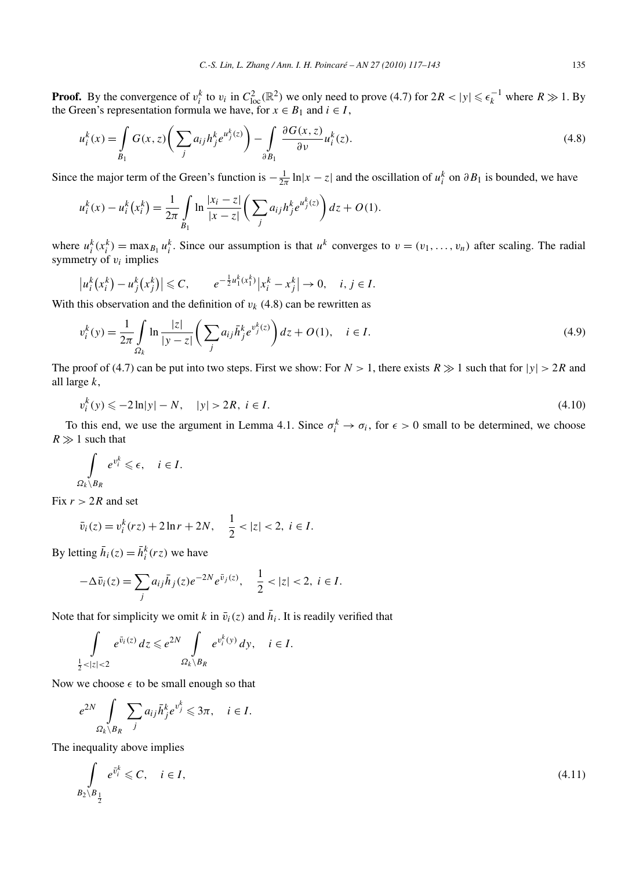**Proof.** By the convergence of  $v_i^k$  to  $v_i$  in  $C_{loc}^2(\mathbb{R}^2)$  we only need to prove (4.7) for  $2R < |y| \leq \epsilon_k^{-1}$  where  $R \gg 1$ . By the Green's representation formula we have, for  $x \in B_1$  and  $i \in I$ ,

$$
u_i^k(x) = \int_{B_1} G(x, z) \left( \sum_j a_{ij} h_j^k e^{u_j^k(z)} \right) - \int_{\partial B_1} \frac{\partial G(x, z)}{\partial v} u_i^k(z).
$$
 (4.8)

Since the major term of the Green's function is  $-\frac{1}{2\pi} \ln|x-z|$  and the oscillation of  $u_i^k$  on  $\partial B_1$  is bounded, we have

$$
u_i^k(x) - u_i^k(x_i^k) = \frac{1}{2\pi} \int_{B_1} \ln \frac{|x_i - z|}{|x - z|} \left( \sum_j a_{ij} h_j^k e^{u_j^k(z)} \right) dz + O(1).
$$

where  $u_i^k(x_i^k) = \max_{B_1} u_i^k$ . Since our assumption is that  $u^k$  converges to  $v = (v_1, \ldots, v_n)$  after scaling. The radial symmetry of  $v_i$  implies

$$
|u_i^k(x_i^k) - u_j^k(x_j^k)| \leq C, \qquad e^{-\frac{1}{2}u_1^k(x_1^k)} |x_i^k - x_j^k| \to 0, \quad i, j \in I.
$$

With this observation and the definition of  $v_k$  (4.8) can be rewritten as

$$
v_i^k(y) = \frac{1}{2\pi} \int_{\Omega_k} \ln \frac{|z|}{|y - z|} \left( \sum_j a_{ij} \bar{h}_j^k e^{v_j^k(z)} \right) dz + O(1), \quad i \in I.
$$
 (4.9)

The proof of (4.7) can be put into two steps. First we show: For  $N > 1$ , there exists  $R \gg 1$  such that for  $|y| > 2R$  and all large *k*,

$$
v_i^k(y) \le -2\ln|y| - N, \quad |y| > 2R, \ i \in I. \tag{4.10}
$$

To this end, we use the argument in Lemma 4.1. Since  $\sigma_i^k \to \sigma_i$ , for  $\epsilon > 0$  small to be determined, we choose  $R \gg 1$  such that

$$
\int_{\Omega_k \setminus B_R} e^{v_i^k} \leqslant \epsilon, \quad i \in I.
$$

Fix  $r > 2R$  and set

$$
\bar{v}_i(z) = v_i^k(rz) + 2\ln r + 2N, \quad \frac{1}{2} < |z| < 2, \ i \in I.
$$

By letting  $\bar{h}_i(z) = \bar{h}_i^k(rz)$  we have

$$
-\Delta \bar{v}_i(z) = \sum_j a_{ij} \bar{h}_j(z) e^{-2N} e^{\bar{v}_j(z)}, \quad \frac{1}{2} < |z| < 2, \ i \in I.
$$

Note that for simplicity we omit *k* in  $\bar{v}_i(z)$  and  $\bar{h}_i$ . It is readily verified that

$$
\int\limits_{\frac{1}{2}<|z|<2} e^{\bar{v}_i(z)} dz \leq e^{2N} \int\limits_{\Omega_k \setminus B_R} e^{v_i^k(y)} dy, \quad i \in I.
$$

Now we choose  $\epsilon$  to be small enough so that

$$
e^{2N} \int\limits_{\Omega_k \setminus B_R} \sum_j a_{ij} \bar{h}_j^k e^{v_j^k} \leq 3\pi, \quad i \in I.
$$

The inequality above implies

$$
\int_{B_2 \setminus B_{\frac{1}{2}}} e^{\bar{v}_i^k} \leqslant C, \quad i \in I,
$$
\n(4.11)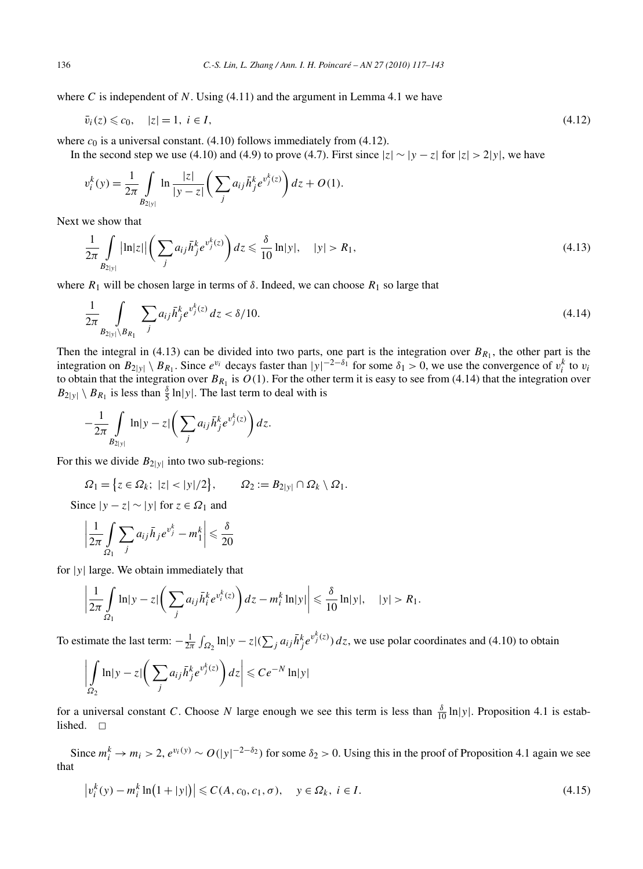where  $C$  is independent of  $N$ . Using  $(4.11)$  and the argument in Lemma 4.1 we have

$$
\bar{v}_i(z) \leqslant c_0, \quad |z| = 1, \ i \in I,\tag{4.12}
$$

where  $c_0$  is a universal constant. (4.10) follows immediately from (4.12).

In the second step we use (4.10) and (4.9) to prove (4.7). First since  $|z| \sim |y - z|$  for  $|z| > 2|y|$ , we have

$$
v_i^k(y) = \frac{1}{2\pi} \int_{B_{2|y|}} \ln \frac{|z|}{|y - z|} \left( \sum_j a_{ij} \bar{h}_j^k e^{v_j^k(z)} \right) dz + O(1).
$$

Next we show that

$$
\frac{1}{2\pi} \int_{B_{2|y|}} |\ln|z| \left( \sum_{j} a_{ij} \bar{h}_j^k e^{v_j^k(z)} \right) dz \leq \frac{\delta}{10} \ln|y|, \quad |y| > R_1,
$$
\n(4.13)

where  $R_1$  will be chosen large in terms of  $\delta$ . Indeed, we can choose  $R_1$  so large that

$$
\frac{1}{2\pi} \int_{B_{2|y|}\setminus B_{R_1}} \sum_j a_{ij} \bar{h}_j^k e^{v_j^k(z)} dz < \delta/10. \tag{4.14}
$$

Then the integral in (4.13) can be divided into two parts, one part is the integration over  $B_{R_1}$ , the other part is the integration on  $B_{2|y|} \setminus B_{R_1}$ . Since  $e^{v_i}$  decays faster than  $|y|^{-2-\delta_1}$  for some  $\delta_1 > 0$ , we use the convergence of  $v_i^k$  to  $v_i$ to obtain that the integration over  $B_{R_1}$  is  $O(1)$ . For the other term it is easy to see from (4.14) that the integration over  $B_{2|y|} \setminus B_{R_1}$  is less than  $\frac{\delta}{5} \ln|y|$ . The last term to deal with is

$$
-\frac{1}{2\pi}\int_{B_{2|y|}}\ln|y-z|\bigg(\sum_j a_{ij}\bar{h}_j^k e^{v_j^k(z)}\bigg)dz.
$$

For this we divide  $B_{2|y|}$  into two sub-regions:

$$
\Omega_1 = \big\{ z \in \Omega_k; \ |z| < |y|/2 \big\}, \qquad \Omega_2 := B_{2|y|} \cap \Omega_k \setminus \Omega_1.
$$

Since  $|y - z|$  ∼  $|y|$  for  $z \in \Omega_1$  and

$$
\left|\frac{1}{2\pi}\int\limits_{\Omega_1}\sum_j a_{ij}\bar{h}_j e^{v_j^k}-m_1^k\right|\leqslant \frac{\delta}{20}
$$

for |*y*| large. We obtain immediately that

$$
\left|\frac{1}{2\pi}\int\limits_{\Omega_1}\ln|y-z|\bigg(\sum_j a_{ij}\bar{h}_i^k e^{v_i^k(z)}\bigg)dz-m_i^k\ln|y|\right|\leq \frac{\delta}{10}\ln|y|,\quad |y|>R_1.
$$

To estimate the last term:  $-\frac{1}{2\pi} \int_{\Omega_2} \ln|y-z| (\sum_j a_{ij} \bar{h}_j^k e^{v_j^k(z)}) dz$ , we use polar coordinates and (4.10) to obtain

$$
\left| \int\limits_{\Omega_2} \ln|y-z| \left( \sum_j a_{ij} \bar{h}_j^k e^{v_j^k(z)} \right) dz \right| \leqslant Ce^{-N} \ln|y|
$$

for a universal constant *C*. Choose *N* large enough we see this term is less than  $\frac{\delta}{10} \ln|y|$ . Proposition 4.1 is established.  $\square$ 

Since  $m_i^k \to m_i > 2$ ,  $e^{v_i(y)} \sim O(|y|^{-2-\delta_2})$  for some  $\delta_2 > 0$ . Using this in the proof of Proposition 4.1 again we see that

$$
\left|v_i^k(y) - m_i^k \ln(1+|y|)\right| \leqslant C(A, c_0, c_1, \sigma), \quad y \in \Omega_k, \ i \in I. \tag{4.15}
$$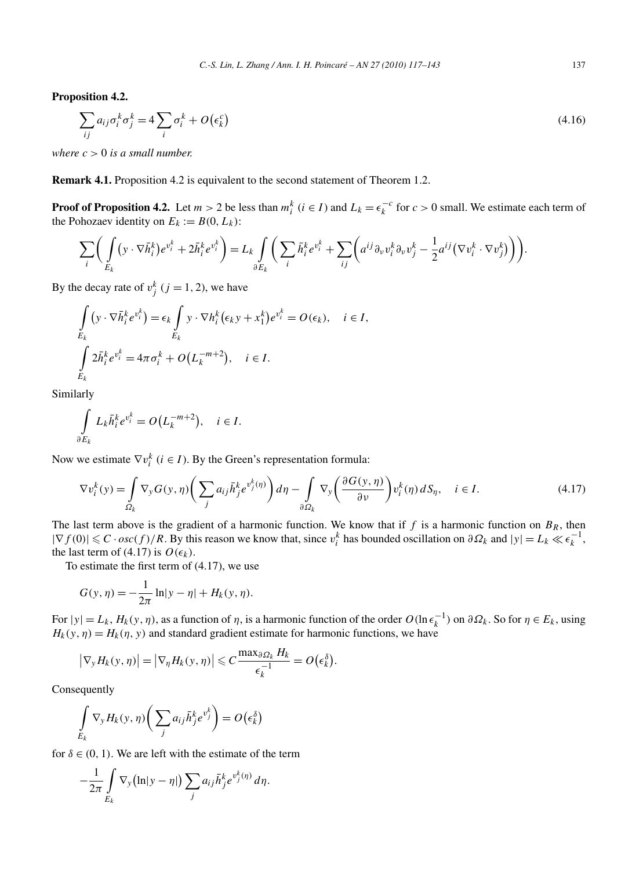**Proposition 4.2.**

$$
\sum_{ij} a_{ij} \sigma_i^k \sigma_j^k = 4 \sum_i \sigma_i^k + O(\epsilon_k^c)
$$
\n(4.16)

*where*  $c > 0$  *is a small number.* 

**Remark 4.1.** Proposition 4.2 is equivalent to the second statement of Theorem 1.2.

**Proof of Proposition 4.2.** Let  $m > 2$  be less than  $m_i^k$  ( $i \in I$ ) and  $L_k = \epsilon_k^{-c}$  for  $c > 0$  small. We estimate each term of the Pohozaev identity on  $E_k := B(0, L_k)$ :

$$
\sum_{i} \bigg( \int_{E_k} (y \cdot \nabla \bar{h}_i^k) e^{v_i^k} + 2 \bar{h}_i^k e^{v_i^k} \bigg) = L_k \int_{\partial E_k} \bigg( \sum_{i} \bar{h}_i^k e^{v_i^k} + \sum_{ij} \bigg( a^{ij} \partial_\nu v_i^k \partial_\nu v_j^k - \frac{1}{2} a^{ij} \big( \nabla v_i^k \cdot \nabla v_j^k \big) \bigg) \bigg).
$$

By the decay rate of  $v_j^k$   $(j = 1, 2)$ , we have

$$
\int_{E_k} (y \cdot \nabla \bar{h}_i^k e^{v_i^k}) = \epsilon_k \int_{E_k} y \cdot \nabla h_i^k (\epsilon_k y + x_1^k) e^{v_i^k} = O(\epsilon_k), \quad i \in I,
$$
\n
$$
\int_{E_k} 2\bar{h}_i^k e^{v_i^k} = 4\pi \sigma_i^k + O\left(L_k^{-m+2}\right), \quad i \in I.
$$

Similarly

$$
\int_{\partial E_k} L_k \bar{h}_i^k e^{v_i^k} = O\big(L_k^{-m+2}\big), \quad i \in I.
$$

Now we estimate  $\nabla v_i^k$  ( $i \in I$ ). By the Green's representation formula:

$$
\nabla v_i^k(y) = \int_{\Omega_k} \nabla_y G(y, \eta) \left( \sum_j a_{ij} \bar{h}_j^k e^{v_j^k(\eta)} \right) d\eta - \int_{\partial \Omega_k} \nabla_y \left( \frac{\partial G(y, \eta)}{\partial v} \right) v_i^k(\eta) dS_{\eta}, \quad i \in I. \tag{4.17}
$$

The last term above is the gradient of a harmonic function. We know that if  $f$  is a harmonic function on  $B_R$ , then  $|\nabla f(0)| \leq C \cdot osc(f)/R$ . By this reason we know that, since  $v_i^k$  has bounded oscillation on  $\partial \Omega_k$  and  $|y| = L_k \ll \epsilon_k^{-1}$ , the last term of (4.17) is  $O(\epsilon_k)$ .

To estimate the first term of (4.17), we use

$$
G(y, \eta) = -\frac{1}{2\pi} \ln|y - \eta| + H_k(y, \eta).
$$

For  $|y| = L_k$ ,  $H_k(y, \eta)$ , as a function of  $\eta$ , is a harmonic function of the order  $O(\ln \epsilon_k^{-1})$  on  $\partial \Omega_k$ . So for  $\eta \in E_k$ , using  $H_k(y, \eta) = H_k(\eta, y)$  and standard gradient estimate for harmonic functions, we have

$$
\left|\nabla_{\mathbf{y}} H_k(\mathbf{y}, \eta)\right| = \left|\nabla_{\eta} H_k(\mathbf{y}, \eta)\right| \leqslant C \frac{\max_{\partial \Omega_k} H_k}{\epsilon_k^{-1}} = O\left(\epsilon_k^{\delta}\right).
$$

Consequently

$$
\int\limits_{E_k} \nabla_{\mathbf{y}} H_k(\mathbf{y}, \eta) \bigg(\sum_j a_{ij} \bar{h}_j^k e^{v_j^k}\bigg) = O\big(\epsilon_k^{\delta}\big)
$$

for  $\delta \in (0, 1)$ . We are left with the estimate of the term

$$
-\frac{1}{2\pi}\int\limits_{E_k}\nabla_{\mathbf{y}}\big(\ln|\mathbf{y}-\eta|\big)\sum_j a_{ij}\bar{h}_j^k e^{\mathbf{v}_j^k(\eta)}\,d\eta.
$$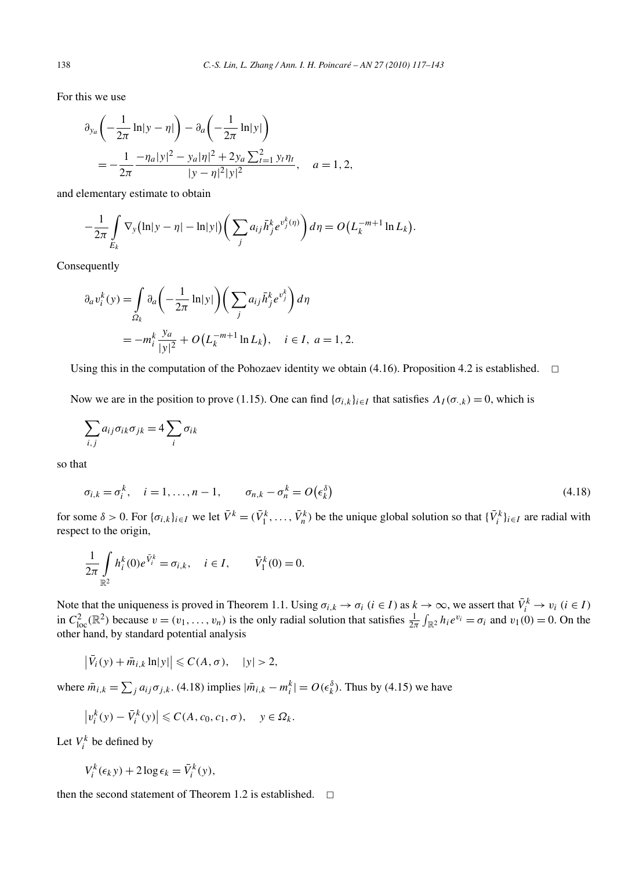For this we use

$$
\partial_{y_a} \left( -\frac{1}{2\pi} \ln|y - \eta| \right) - \partial_a \left( -\frac{1}{2\pi} \ln|y| \right)
$$
  
= 
$$
-\frac{1}{2\pi} \frac{-\eta_a |y|^2 - y_a |\eta|^2 + 2y_a \sum_{i=1}^2 y_i \eta_t}{|y - \eta|^2 |y|^2}, \quad a = 1, 2,
$$

and elementary estimate to obtain

$$
-\frac{1}{2\pi}\int\limits_{E_k}\nabla_y(\ln|y-\eta|-\ln|y|)\bigg(\sum_j a_{ij}\overline{h}_j^k e^{v_j^k(\eta)}\bigg)d\eta=O\big(L_k^{-m+1}\ln L_k\big).
$$

Consequently

$$
\partial_a v_i^k(y) = \int_{\Omega_k} \partial_a \left( -\frac{1}{2\pi} \ln|y| \right) \left( \sum_j a_{ij} \bar{h}_j^k e^{v_j^k} \right) d\eta
$$
  
= 
$$
-m_i^k \frac{y_a}{|y|^2} + O\left( L_k^{-m+1} \ln L_k \right), \quad i \in I, \ a = 1, 2.
$$

Using this in the computation of the Pohozaev identity we obtain (4.16). Proposition 4.2 is established.  $\Box$ 

Now we are in the position to prove (1.15). One can find  ${\{\sigma_{i,k}\}}_{i\in I}$  that satisfies  $\Lambda_I(\sigma_{i,k})=0$ , which is

$$
\sum_{i,j} a_{ij} \sigma_{ik} \sigma_{jk} = 4 \sum_{i} \sigma_{ik}
$$

so that

$$
\sigma_{i,k} = \sigma_i^k, \quad i = 1, \dots, n-1, \qquad \sigma_{n,k} - \sigma_n^k = O(\epsilon_k^{\delta})
$$
\n
$$
(4.18)
$$

for some  $\delta > 0$ . For  $\{\sigma_{i,k}\}_{i \in I}$  we let  $\bar{V}^k = (\bar{V}_1^k, \dots, \bar{V}_n^k)$  be the unique global solution so that  $\{\bar{V}_i^k\}_{i \in I}$  are radial with respect to the origin,

$$
\frac{1}{2\pi} \int_{\mathbb{R}^2} h_i^k(0) e^{\bar{V}_i^k} = \sigma_{i,k}, \quad i \in I, \qquad \bar{V}_1^k(0) = 0.
$$

Note that the uniqueness is proved in Theorem 1.1. Using  $\sigma_{i,k} \to \sigma_i$  ( $i \in I$ ) as  $k \to \infty$ , we assert that  $\bar{V}_i^k \to v_i$  ( $i \in I$ ) in  $C_{\text{loc}}^2(\mathbb{R}^2)$  because  $v = (v_1, \ldots, v_n)$  is the only radial solution that satisfies  $\frac{1}{2\pi} \int_{\mathbb{R}^2} h_i e^{v_i} = \sigma_i$  and  $v_1(0) = 0$ . On the other hand, by standard potential analysis

$$
\left|\bar{V}_i(y) + \bar{m}_{i,k} \ln|y|\right| \leqslant C(A,\sigma), \quad |y| > 2,
$$

where  $\bar{m}_{i,k} = \sum_j a_{ij} \sigma_{j,k}$ . (4.18) implies  $|\bar{m}_{i,k} - m_i^k| = O(\epsilon_k^{\delta})$ . Thus by (4.15) we have

$$
\left|v_i^k(y) - \bar{V}_i^k(y)\right| \leqslant C(A, c_0, c_1, \sigma), \quad y \in \Omega_k.
$$

Let  $V_i^k$  be defined by

$$
V_i^k(\epsilon_k y) + 2 \log \epsilon_k = \bar{V}_i^k(y),
$$

then the second statement of Theorem 1.2 is established.  $\Box$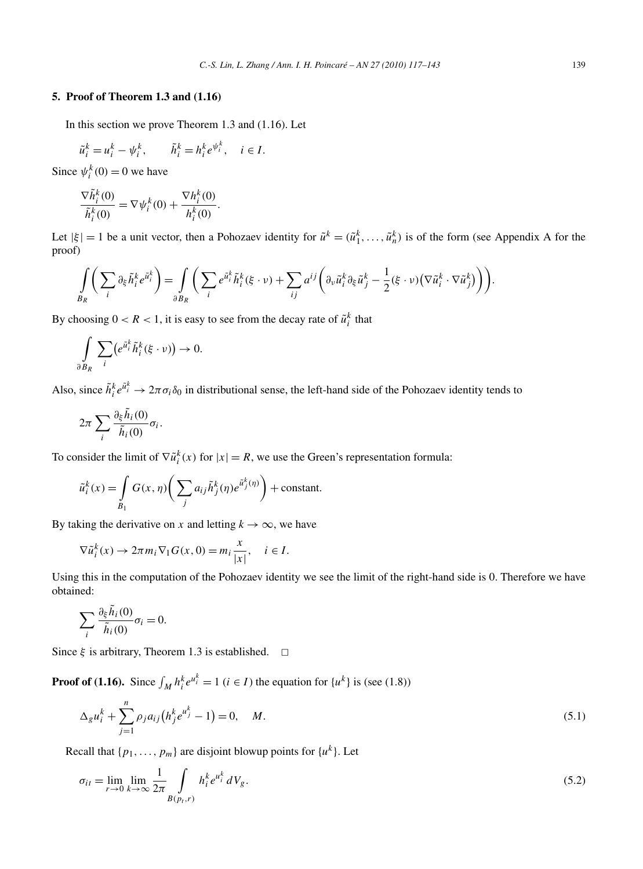#### **5. Proof of Theorem 1.3 and (1.16)**

In this section we prove Theorem 1.3 and (1.16). Let

$$
\tilde{u}_i^k = u_i^k - \psi_i^k, \qquad \tilde{h}_i^k = h_i^k e^{\psi_i^k}, \quad i \in I.
$$

Since  $\psi_i^k(0) = 0$  we have

$$
\frac{\nabla \tilde{h}_i^k(0)}{\tilde{h}_i^k(0)} = \nabla \psi_i^k(0) + \frac{\nabla h_i^k(0)}{h_i^k(0)}.
$$

Let  $|\xi| = 1$  be a unit vector, then a Pohozaev identity for  $\tilde{u}^k = (\tilde{u}_1^k, \dots, \tilde{u}_n^k)$  is of the form (see Appendix A for the proof)

$$
\int_{B_R} \bigg(\sum_i \partial_{\xi} \tilde{h}_i^k e^{\tilde{u}_i^k} \bigg) = \int_{\partial B_R} \bigg(\sum_i e^{\tilde{u}_i^k} \tilde{h}_i^k(\xi \cdot \nu) + \sum_{ij} a^{ij} \bigg(\partial_{\nu} \tilde{u}_i^k \partial_{\xi} \tilde{u}_j^k - \frac{1}{2}(\xi \cdot \nu) \big(\nabla \tilde{u}_i^k \cdot \nabla \tilde{u}_j^k\big)\bigg)\bigg).
$$

By choosing  $0 < R < 1$ , it is easy to see from the decay rate of  $\tilde{u}_i^k$  that

$$
\int\limits_{\partial B_R} \sum_i \bigl( e^{\tilde{u}_i^k} \tilde{h}_i^k(\xi \cdot \nu) \bigr) \to 0.
$$

Also, since  $\tilde{h}_i^k e^{\tilde{u}_i^k} \to 2\pi \sigma_i \delta_0$  in distributional sense, the left-hand side of the Pohozaev identity tends to

$$
2\pi\sum_i\frac{\partial_{\xi}\tilde{h}_i(0)}{\tilde{h}_i(0)}\sigma_i.
$$

To consider the limit of  $\nabla \tilde{u}_i^k(x)$  for  $|x| = R$ , we use the Green's representation formula:

$$
\tilde{u}_i^k(x) = \int_{B_1} G(x, \eta) \bigg( \sum_j a_{ij} \tilde{h}_j^k(\eta) e^{\tilde{u}_j^k(\eta)} \bigg) + \text{constant}.
$$

By taking the derivative on *x* and letting  $k \to \infty$ , we have

$$
\nabla \tilde{u}_i^k(x) \to 2\pi m_i \nabla_1 G(x, 0) = m_i \frac{x}{|x|}, \quad i \in I.
$$

Using this in the computation of the Pohozaev identity we see the limit of the right-hand side is 0. Therefore we have obtained:

$$
\sum_{i} \frac{\partial_{\xi} \tilde{h}_i(0)}{\tilde{h}_i(0)} \sigma_i = 0.
$$

Since  $\xi$  is arbitrary, Theorem 1.3 is established.  $\Box$ 

**Proof of (1.16).** Since  $\int_M h_i^k e^{u_i^k} = 1$  ( $i \in I$ ) the equation for  $\{u^k\}$  is (see (1.8))

$$
\Delta_{g}u_{i}^{k} + \sum_{j=1}^{n} \rho_{j}a_{ij}\left(h_{j}^{k}e^{u_{j}^{k}} - 1\right) = 0, \quad M. \tag{5.1}
$$

Recall that  $\{p_1, \ldots, p_m\}$  are disjoint blowup points for  $\{u^k\}$ . Let

$$
\sigma_{it} = \lim_{r \to 0} \lim_{k \to \infty} \frac{1}{2\pi} \int_{B(p_t, r)} h_i^k e^{u_i^k} dV_g. \tag{5.2}
$$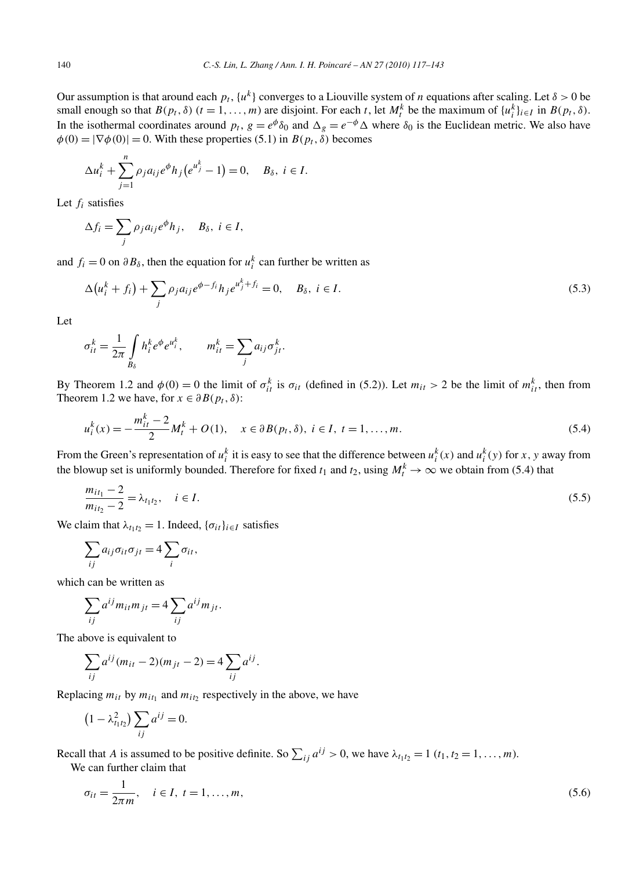Our assumption is that around each  $p_t$ ,  $\{u^k\}$  converges to a Liouville system of *n* equations after scaling. Let  $\delta > 0$  be small enough so that  $B(p_t, \delta)$  ( $t = 1, ..., m$ ) are disjoint. For each  $t$ , let  $M_t^k$  be the maximum of  $\{u_i^k\}_{i \in I}$  in  $B(p_t, \delta)$ . In the isothermal coordinates around  $p_t$ ,  $g = e^{\phi} \delta_0$  and  $\Delta_g = e^{-\phi} \Delta$  where  $\delta_0$  is the Euclidean metric. We also have  $\phi(0) = |\nabla \phi(0)| = 0$ . With these properties (5.1) in  $B(p_t, \delta)$  becomes

$$
\Delta u_i^k + \sum_{j=1}^n \rho_j a_{ij} e^{\phi} h_j (e^{u_j^k} - 1) = 0, \quad B_\delta, \ i \in I.
$$

Let *fi* satisfies

$$
\Delta f_i = \sum_j \rho_j a_{ij} e^{\phi} h_j, \quad B_{\delta}, \ i \in I,
$$

and  $f_i = 0$  on  $\partial B_\delta$ , then the equation for  $u_i^k$  can further be written as

$$
\Delta(u_i^k + f_i) + \sum_j \rho_j a_{ij} e^{\phi - f_i} h_j e^{u_j^k + f_i} = 0, \quad B_\delta, \ i \in I.
$$
\n(5.3)

Let

$$
\sigma_{it}^k = \frac{1}{2\pi} \int_{B_\delta} h_i^k e^{\phi} e^{u_i^k}, \qquad m_{it}^k = \sum_j a_{ij} \sigma_{jt}^k.
$$

By Theorem 1.2 and  $\phi(0) = 0$  the limit of  $\sigma_{it}^k$  is  $\sigma_{it}$  (defined in (5.2)). Let  $m_{it} > 2$  be the limit of  $m_{it}^k$ , then from Theorem 1.2 we have, for  $x \in \partial B(p_t, \delta)$ :

$$
u_i^k(x) = -\frac{m_{it}^k - 2}{2} M_t^k + O(1), \quad x \in \partial B(p_t, \delta), \ i \in I, \ t = 1, \dots, m. \tag{5.4}
$$

From the Green's representation of  $u_i^k$  it is easy to see that the difference between  $u_i^k(x)$  and  $u_i^k(y)$  for *x*, *y* away from the blowup set is uniformly bounded. Therefore for fixed  $t_1$  and  $t_2$ , using  $M_t^k \to \infty$  we obtain from (5.4) that

$$
\frac{m_{it_1} - 2}{m_{it_2} - 2} = \lambda_{t_1 t_2}, \quad i \in I.
$$
\n(5.5)

We claim that  $\lambda_{t_1t_2} = 1$ . Indeed,  $\{\sigma_{it}\}_{i \in I}$  satisfies

$$
\sum_{ij} a_{ij} \sigma_{it} \sigma_{jt} = 4 \sum_i \sigma_{it},
$$

which can be written as

$$
\sum_{ij} a^{ij} m_{it} m_{jt} = 4 \sum_{ij} a^{ij} m_{jt}.
$$

The above is equivalent to

$$
\sum_{ij} a^{ij} (m_{it} - 2)(m_{jt} - 2) = 4 \sum_{ij} a^{ij}.
$$

Replacing  $m_{it}$  by  $m_{it}$  and  $m_{it}$  respectively in the above, we have

$$
(1 - \lambda_{t_1 t_2}^2) \sum_{ij} a^{ij} = 0.
$$

Recall that *A* is assumed to be positive definite. So  $\sum_{ij} a^{ij} > 0$ , we have  $\lambda_{t_1 t_2} = 1$  ( $t_1, t_2 = 1, ..., m$ ). We can further claim that

$$
\sigma_{it} = \frac{1}{2\pi m}, \quad i \in I, \ t = 1, \dots, m,
$$
\n(5.6)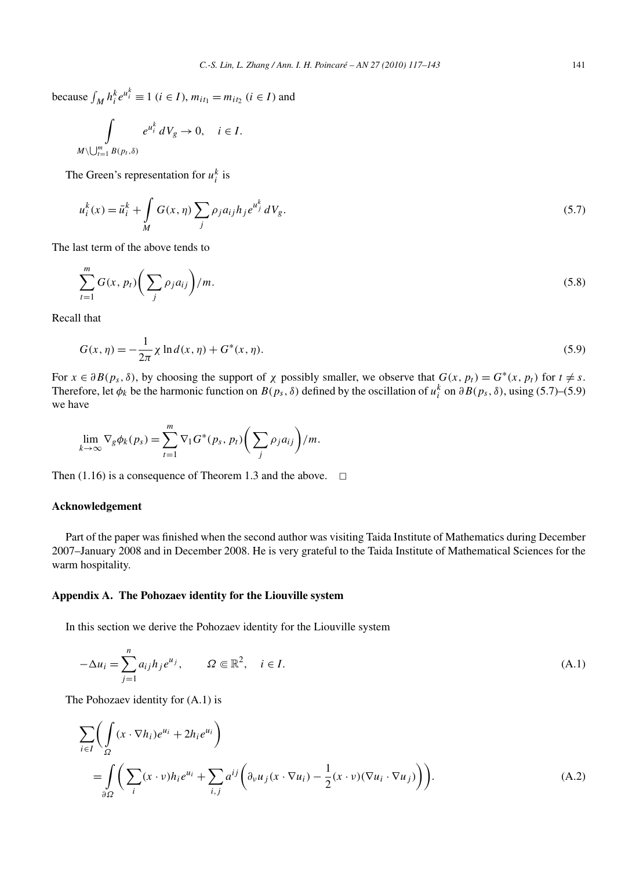because  $\int_M h_i^k e^{u_i^k} \equiv 1$  (*i* ∈ *I*),  $m_{it_1} = m_{it_2}$  (*i* ∈ *I*) and

$$
\int\limits_{M\setminus\bigcup_{t=1}^m B(p_t,\delta)}e^{u_i^k} dV_g\to 0, \quad i\in I.
$$

The Green's representation for  $u_i^k$  is

$$
u_i^k(x) = \bar{u}_i^k + \int_M G(x, \eta) \sum_j \rho_j a_{ij} h_j e^{u_j^k} dV_g.
$$
 (5.7)

The last term of the above tends to

$$
\sum_{t=1}^{m} G(x, p_t) \bigg( \sum_{j} \rho_j a_{ij} \bigg) / m. \tag{5.8}
$$

Recall that

$$
G(x, \eta) = -\frac{1}{2\pi} \chi \ln d(x, \eta) + G^*(x, \eta). \tag{5.9}
$$

For  $x \in \partial B(p_s, \delta)$ , by choosing the support of  $\chi$  possibly smaller, we observe that  $G(x, p_t) = G^*(x, p_t)$  for  $t \neq s$ . Therefore, let  $\phi_k$  be the harmonic function on  $B(p_s, \delta)$  defined by the oscillation of  $u_i^k$  on  $\partial B(p_s, \delta)$ , using (5.7)–(5.9) we have

$$
\lim_{k\to\infty} \nabla_g \phi_k(p_s) = \sum_{t=1}^m \nabla_1 G^*(p_s, p_t) \bigg( \sum_j \rho_j a_{ij} \bigg) / m.
$$

Then (1.16) is a consequence of Theorem 1.3 and the above.  $\Box$ 

## **Acknowledgement**

Part of the paper was finished when the second author was visiting Taida Institute of Mathematics during December 2007–January 2008 and in December 2008. He is very grateful to the Taida Institute of Mathematical Sciences for the warm hospitality.

#### **Appendix A. The Pohozaev identity for the Liouville system**

In this section we derive the Pohozaev identity for the Liouville system

$$
-\Delta u_i = \sum_{j=1}^n a_{ij} h_j e^{u_j}, \qquad \Omega \in \mathbb{R}^2, \quad i \in I.
$$
\n(A.1)

The Pohozaev identity for (A.1) is

$$
\sum_{i \in I} \left( \int_{\Omega} (x \cdot \nabla h_i) e^{u_i} + 2h_i e^{u_i} \right)
$$
\n
$$
= \int_{\partial \Omega} \left( \sum_i (x \cdot \nu) h_i e^{u_i} + \sum_{i,j} a^{ij} \left( \partial_{\nu} u_j (x \cdot \nabla u_i) - \frac{1}{2} (x \cdot \nu) (\nabla u_i \cdot \nabla u_j) \right) \right).
$$
\n(A.2)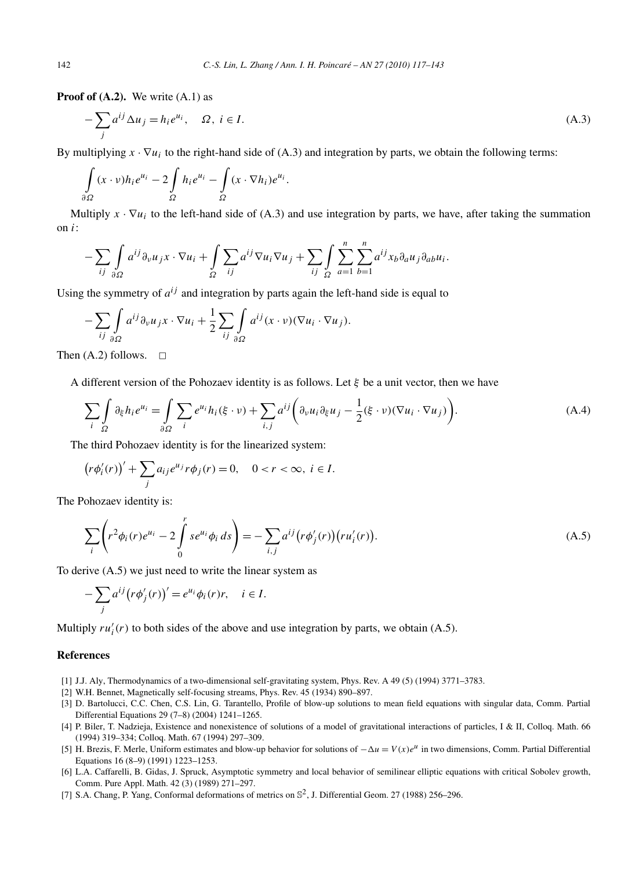**Proof of (A.2).** We write (A.1) as

$$
-\sum_{j} a^{ij} \Delta u_j = h_i e^{u_i}, \quad \Omega, \ i \in I. \tag{A.3}
$$

By multiplying  $x \cdot \nabla u_i$  to the right-hand side of (A.3) and integration by parts, we obtain the following terms:

$$
\int_{\partial\Omega} (x \cdot v) h_i e^{u_i} - 2 \int_{\Omega} h_i e^{u_i} - \int_{\Omega} (x \cdot \nabla h_i) e^{u_i}.
$$

Multiply  $x \cdot \nabla u_i$  to the left-hand side of (A.3) and use integration by parts, we have, after taking the summation on *i*:

$$
-\sum_{ij}\int_{\partial\Omega}a^{ij}\partial_{\nu}u_{j}x\cdot\nabla u_{i}+\int_{\Omega}\sum_{ij}a^{ij}\nabla u_{i}\nabla u_{j}+\sum_{ij}\int_{\Omega}\sum_{a=1}^{n}\sum_{b=1}^{n}a^{ij}x_{b}\partial_{a}u_{j}\partial_{ab}u_{i}.
$$

Using the symmetry of  $a^{ij}$  and integration by parts again the left-hand side is equal to

$$
-\sum_{ij}\int_{\partial\Omega}a^{ij}\partial_{\nu}u_jx\cdot\nabla u_i+\frac{1}{2}\sum_{ij}\int_{\partial\Omega}a^{ij}(x\cdot\nu)(\nabla u_i\cdot\nabla u_j).
$$

Then  $(A.2)$  follows.  $\Box$ 

A different version of the Pohozaev identity is as follows. Let *ξ* be a unit vector, then we have

$$
\sum_{i} \int_{\Omega} \partial_{\xi} h_i e^{u_i} = \int_{\partial \Omega} \sum_{i} e^{u_i} h_i(\xi \cdot \nu) + \sum_{i,j} a^{ij} \left( \partial_{\nu} u_i \partial_{\xi} u_j - \frac{1}{2} (\xi \cdot \nu) (\nabla u_i \cdot \nabla u_j) \right).
$$
(A.4)

The third Pohozaev identity is for the linearized system:

$$
\left(r\phi_i'(r)\right)' + \sum_j a_{ij}e^{u_j}r\phi_j(r) = 0, \quad 0 < r < \infty, \ i \in I.
$$

The Pohozaev identity is:

$$
\sum_{i} \left( r^2 \phi_i(r) e^{u_i} - 2 \int_0^r s e^{u_i} \phi_i ds \right) = - \sum_{i,j} a^{ij} \left( r \phi'_j(r) \right) \left( r u'_i(r) \right). \tag{A.5}
$$

To derive (A.5) we just need to write the linear system as

$$
-\sum_{j} a^{ij} (r\phi'_{j}(r))' = e^{u_{i}} \phi_{i}(r)r, \quad i \in I.
$$

Multiply  $ru'_{i}(r)$  to both sides of the above and use integration by parts, we obtain (A.5).

# **References**

- [1] J.J. Aly, Thermodynamics of a two-dimensional self-gravitating system, Phys. Rev. A 49 (5) (1994) 3771–3783.
- [2] W.H. Bennet, Magnetically self-focusing streams, Phys. Rev. 45 (1934) 890–897.
- [3] D. Bartolucci, C.C. Chen, C.S. Lin, G. Tarantello, Profile of blow-up solutions to mean field equations with singular data, Comm. Partial Differential Equations 29 (7–8) (2004) 1241–1265.
- [4] P. Biler, T. Nadzieja, Existence and nonexistence of solutions of a model of gravitational interactions of particles, I & II, Colloq. Math. 66 (1994) 319–334; Colloq. Math. 67 (1994) 297–309.
- [5] H. Brezis, F. Merle, Uniform estimates and blow-up behavior for solutions of −*-u* = *V (x)e<sup>u</sup>* in two dimensions, Comm. Partial Differential Equations 16 (8–9) (1991) 1223–1253.
- [6] L.A. Caffarelli, B. Gidas, J. Spruck, Asymptotic symmetry and local behavior of semilinear elliptic equations with critical Sobolev growth, Comm. Pure Appl. Math. 42 (3) (1989) 271–297.
- [7] S.A. Chang, P. Yang, Conformal deformations of metrics on  $\mathbb{S}^2$ , J. Differential Geom. 27 (1988) 256–296.